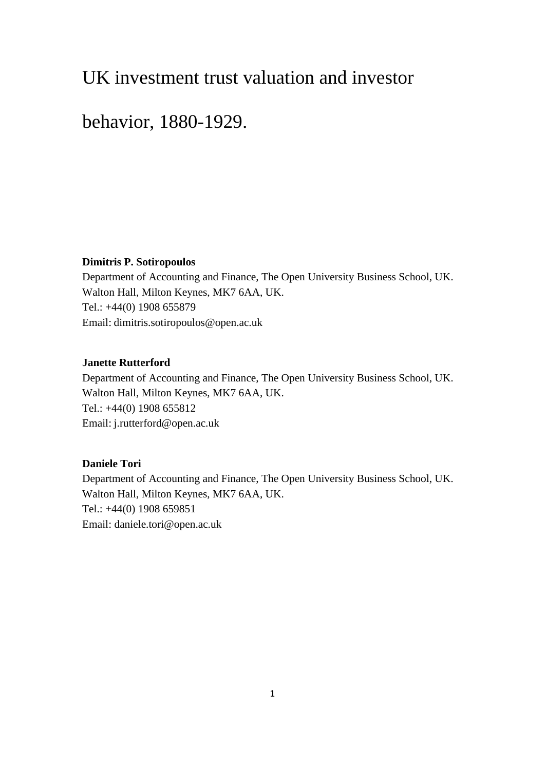# UK investment trust valuation and investor

# behavior, 1880-1929.

# **Dimitris P. Sotiropoulos**

Department of Accounting and Finance, The Open University Business School, UK. Walton Hall, Milton Keynes, MK7 6AA, UK. Tel.: +44(0) 1908 655879 Email: dimitris.sotiropoulos@open.ac.uk

# **Janette Rutterford**

Department of Accounting and Finance, The Open University Business School, UK. Walton Hall, Milton Keynes, MK7 6AA, UK. Tel.: +44(0) 1908 655812 Email: j.rutterford@open.ac.uk

# **Daniele Tori**

Department of Accounting and Finance, The Open University Business School, UK. Walton Hall, Milton Keynes, MK7 6AA, UK. Tel.: +44(0) 1908 659851 Email: daniele.tori@open.ac.uk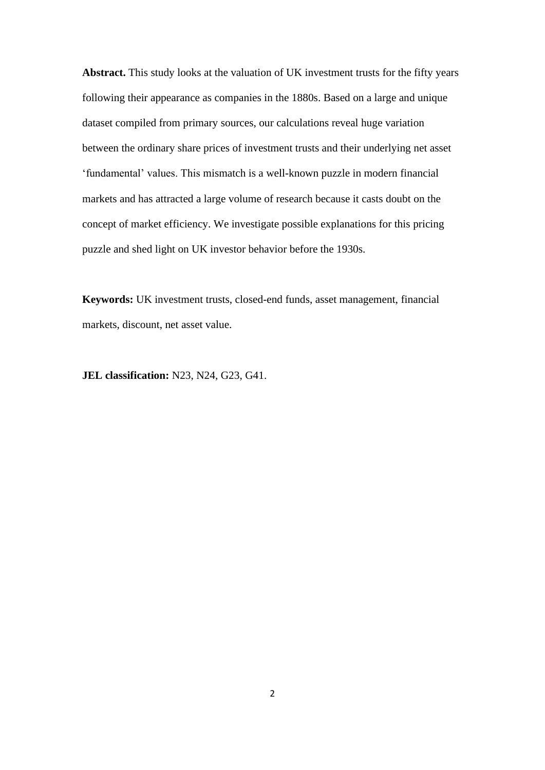**Abstract.** This study looks at the valuation of UK investment trusts for the fifty years following their appearance as companies in the 1880s. Based on a large and unique dataset compiled from primary sources, our calculations reveal huge variation between the ordinary share prices of investment trusts and their underlying net asset 'fundamental' values. This mismatch is a well-known puzzle in modern financial markets and has attracted a large volume of research because it casts doubt on the concept of market efficiency. We investigate possible explanations for this pricing puzzle and shed light on UK investor behavior before the 1930s.

**Keywords:** UK investment trusts, closed-end funds, asset management, financial markets, discount, net asset value.

**JEL classification:** N23, N24, G23, G41.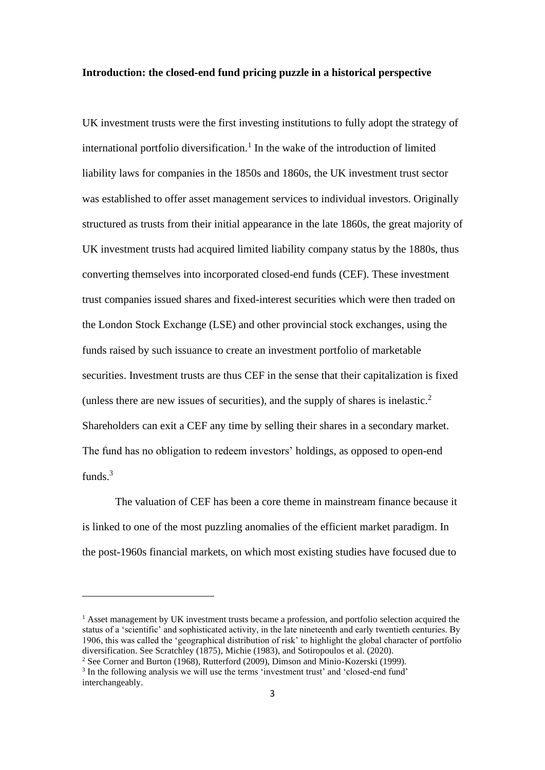### **Introduction: the closed-end fund pricing puzzle in a historical perspective**

UK investment trusts were the first investing institutions to fully adopt the strategy of international portfolio diversification.<sup>1</sup> In the wake of the introduction of limited liability laws for companies in the 1850s and 1860s, the UK investment trust sector was established to offer asset management services to individual investors. Originally structured as trusts from their initial appearance in the late 1860s, the great majority of UK investment trusts had acquired limited liability company status by the 1880s, thus converting themselves into incorporated closed-end funds (CEF). These investment trust companies issued shares and fixed-interest securities which were then traded on the London Stock Exchange (LSE) and other provincial stock exchanges, using the funds raised by such issuance to create an investment portfolio of marketable securities. Investment trusts are thus CEF in the sense that their capitalization is fixed (unless there are new issues of securities), and the supply of shares is inelastic.<sup>2</sup> Shareholders can exit a CEF any time by selling their shares in a secondary market. The fund has no obligation to redeem investors' holdings, as opposed to open-end funds.<sup>3</sup>

The valuation of CEF has been a core theme in mainstream finance because it is linked to one of the most puzzling anomalies of the efficient market paradigm. In the post-1960s financial markets, on which most existing studies have focused due to

<sup>&</sup>lt;sup>1</sup> Asset management by UK investment trusts became a profession, and portfolio selection acquired the status of a 'scientific' and sophisticated activity, in the late nineteenth and early twentieth centuries. By 1906, this was called the 'geographical distribution of risk' to highlight the global character of portfolio diversification. See Scratchley (1875), Michie (1983), and Sotiropoulos et al. (2020).

<sup>2</sup> See Corner and Burton (1968), Rutterford (2009), Dimson and Minio-Kozerski (1999).

<sup>&</sup>lt;sup>3</sup> In the following analysis we will use the terms 'investment trust' and 'closed-end fund' interchangeably.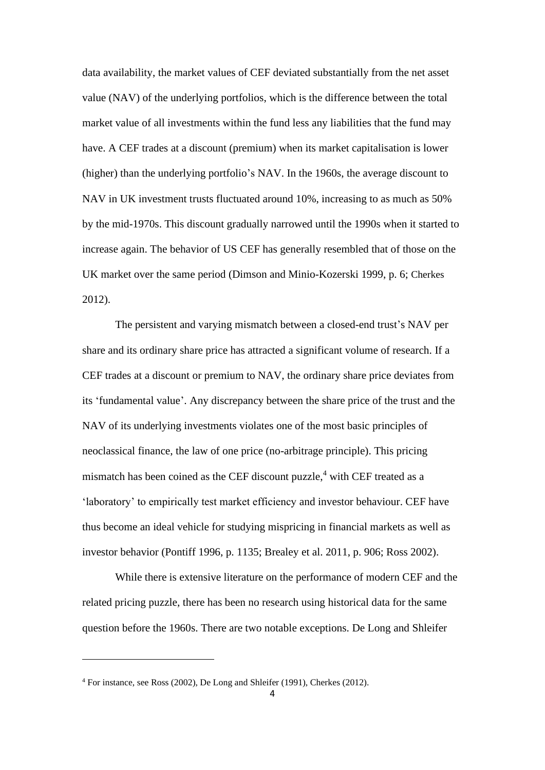data availability, the market values of CEF deviated substantially from the net asset value (NAV) of the underlying portfolios, which is the difference between the total market value of all investments within the fund less any liabilities that the fund may have. A CEF trades at a discount (premium) when its market capitalisation is lower (higher) than the underlying portfolio's NAV. In the 1960s, the average discount to NAV in UK investment trusts fluctuated around 10%, increasing to as much as 50% by the mid-1970s. This discount gradually narrowed until the 1990s when it started to increase again. The behavior of US CEF has generally resembled that of those on the UK market over the same period (Dimson and Minio-Kozerski 1999, p. 6; Cherkes 2012).

The persistent and varying mismatch between a closed-end trust's NAV per share and its ordinary share price has attracted a significant volume of research. If a CEF trades at a discount or premium to NAV, the ordinary share price deviates from its 'fundamental value'. Any discrepancy between the share price of the trust and the NAV of its underlying investments violates one of the most basic principles of neoclassical finance, the law of one price (no-arbitrage principle). This pricing mismatch has been coined as the CEF discount puzzle, $4$  with CEF treated as a 'laboratory' to empirically test market efficiency and investor behaviour. CEF have thus become an ideal vehicle for studying mispricing in financial markets as well as investor behavior (Pontiff 1996, p. 1135; Brealey et al. 2011, p. 906; Ross 2002).

While there is extensive literature on the performance of modern CEF and the related pricing puzzle, there has been no research using historical data for the same question before the 1960s. There are two notable exceptions. De Long and Shleifer

<sup>4</sup> For instance, see Ross (2002), De Long and Shleifer (1991), Cherkes (2012).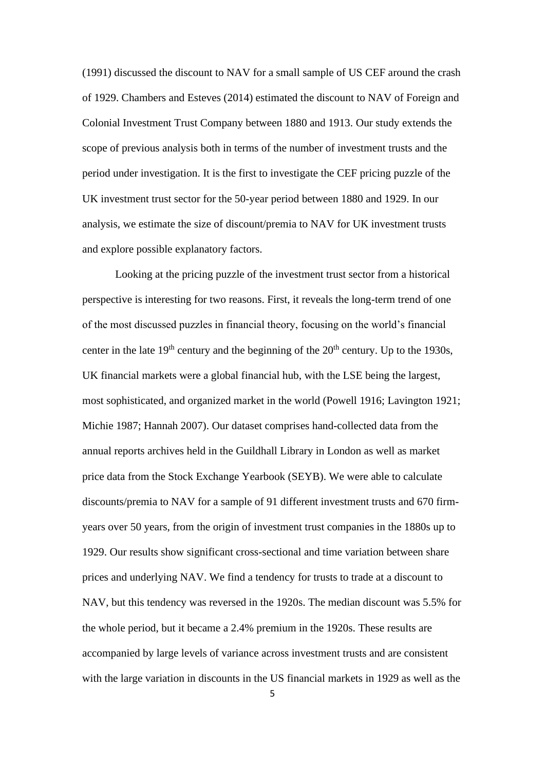(1991) discussed the discount to NAV for a small sample of US CEF around the crash of 1929. Chambers and Esteves (2014) estimated the discount to NAV of Foreign and Colonial Investment Trust Company between 1880 and 1913. Our study extends the scope of previous analysis both in terms of the number of investment trusts and the period under investigation. It is the first to investigate the CEF pricing puzzle of the UK investment trust sector for the 50-year period between 1880 and 1929. In our analysis, we estimate the size of discount/premia to NAV for UK investment trusts and explore possible explanatory factors.

Looking at the pricing puzzle of the investment trust sector from a historical perspective is interesting for two reasons. First, it reveals the long-term trend of one of the most discussed puzzles in financial theory, focusing on the world's financial center in the late  $19<sup>th</sup>$  century and the beginning of the  $20<sup>th</sup>$  century. Up to the 1930s, UK financial markets were a global financial hub, with the LSE being the largest, most sophisticated, and organized market in the world (Powell 1916; Lavington 1921; Michie 1987; Hannah 2007). Our dataset comprises hand-collected data from the annual reports archives held in the Guildhall Library in London as well as market price data from the Stock Exchange Yearbook (SEYB). We were able to calculate discounts/premia to NAV for a sample of 91 different investment trusts and 670 firmyears over 50 years, from the origin of investment trust companies in the 1880s up to 1929. Our results show significant cross-sectional and time variation between share prices and underlying NAV. We find a tendency for trusts to trade at a discount to NAV, but this tendency was reversed in the 1920s. The median discount was 5.5% for the whole period, but it became a 2.4% premium in the 1920s. These results are accompanied by large levels of variance across investment trusts and are consistent with the large variation in discounts in the US financial markets in 1929 as well as the

5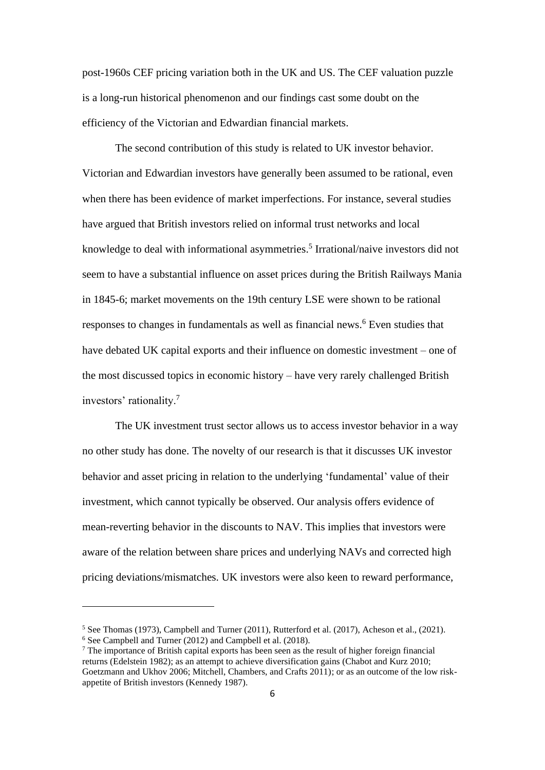post-1960s CEF pricing variation both in the UK and US. The CEF valuation puzzle is a long-run historical phenomenon and our findings cast some doubt on the efficiency of the Victorian and Edwardian financial markets.

The second contribution of this study is related to UK investor behavior. Victorian and Edwardian investors have generally been assumed to be rational, even when there has been evidence of market imperfections. For instance, several studies have argued that British investors relied on informal trust networks and local knowledge to deal with informational asymmetries. 5 Irrational/naive investors did not seem to have a substantial influence on asset prices during the British Railways Mania in 1845-6; market movements on the 19th century LSE were shown to be rational responses to changes in fundamentals as well as financial news. <sup>6</sup> Even studies that have debated UK capital exports and their influence on domestic investment – one of the most discussed topics in economic history – have very rarely challenged British investors' rationality.<sup>7</sup>

The UK investment trust sector allows us to access investor behavior in a way no other study has done. The novelty of our research is that it discusses UK investor behavior and asset pricing in relation to the underlying 'fundamental' value of their investment, which cannot typically be observed. Our analysis offers evidence of mean-reverting behavior in the discounts to NAV. This implies that investors were aware of the relation between share prices and underlying NAVs and corrected high pricing deviations/mismatches. UK investors were also keen to reward performance,

 $5$  See Thomas (1973), Campbell and Turner (2011), Rutterford et al. (2017), Acheson et al., (2021). <sup>6</sup> See Campbell and Turner (2012) and Campbell et al. (2018).

<sup>&</sup>lt;sup>7</sup> The importance of British capital exports has been seen as the result of higher foreign financial returns (Edelstein 1982); as an attempt to achieve diversification gains (Chabot and Kurz 2010; Goetzmann and Ukhov 2006; Mitchell, Chambers, and Crafts 2011); or as an outcome of the low riskappetite of British investors (Kennedy 1987).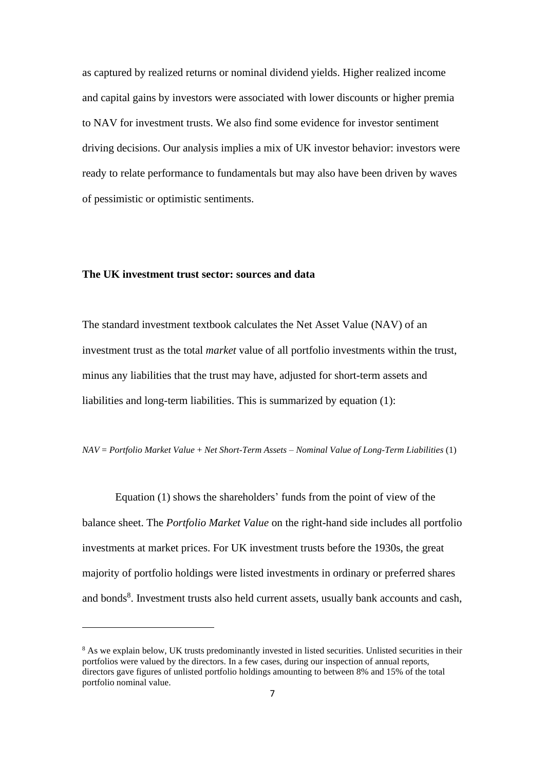as captured by realized returns or nominal dividend yields. Higher realized income and capital gains by investors were associated with lower discounts or higher premia to NAV for investment trusts. We also find some evidence for investor sentiment driving decisions. Our analysis implies a mix of UK investor behavior: investors were ready to relate performance to fundamentals but may also have been driven by waves of pessimistic or optimistic sentiments.

# **The UK investment trust sector: sources and data**

The standard investment textbook calculates the Net Asset Value (NAV) of an investment trust as the total *market* value of all portfolio investments within the trust, minus any liabilities that the trust may have, adjusted for short-term assets and liabilities and long-term liabilities. This is summarized by equation (1):

*NAV* = *Portfolio Market Value* + *Net Short-Term Assets* – *Nominal Value of Long-Term Liabilities* (1)

Equation (1) shows the shareholders' funds from the point of view of the balance sheet. The *Portfolio Market Value* on the right-hand side includes all portfolio investments at market prices. For UK investment trusts before the 1930s, the great majority of portfolio holdings were listed investments in ordinary or preferred shares and bonds<sup>8</sup>. Investment trusts also held current assets, usually bank accounts and cash,

<sup>&</sup>lt;sup>8</sup> As we explain below, UK trusts predominantly invested in listed securities. Unlisted securities in their portfolios were valued by the directors. In a few cases, during our inspection of annual reports, directors gave figures of unlisted portfolio holdings amounting to between 8% and 15% of the total portfolio nominal value.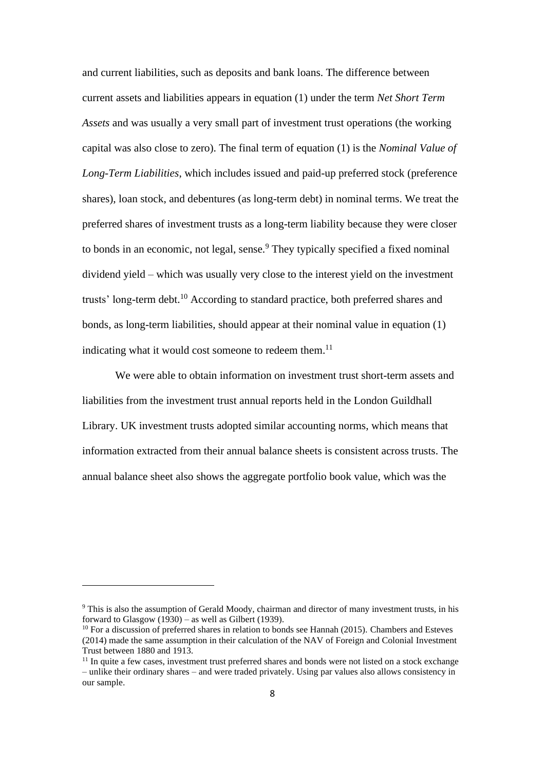and current liabilities, such as deposits and bank loans. The difference between current assets and liabilities appears in equation (1) under the term *Net Short Term Assets* and was usually a very small part of investment trust operations (the working capital was also close to zero). The final term of equation (1) is the *Nominal Value of Long-Term Liabilities*, which includes issued and paid-up preferred stock (preference shares), loan stock, and debentures (as long-term debt) in nominal terms. We treat the preferred shares of investment trusts as a long-term liability because they were closer to bonds in an economic, not legal, sense.<sup>9</sup> They typically specified a fixed nominal dividend yield – which was usually very close to the interest yield on the investment trusts' long-term debt.<sup>10</sup> According to standard practice, both preferred shares and bonds, as long-term liabilities, should appear at their nominal value in equation (1) indicating what it would cost someone to redeem them.<sup>11</sup>

We were able to obtain information on investment trust short-term assets and liabilities from the investment trust annual reports held in the London Guildhall Library. UK investment trusts adopted similar accounting norms, which means that information extracted from their annual balance sheets is consistent across trusts. The annual balance sheet also shows the aggregate portfolio book value, which was the

<sup>9</sup> This is also the assumption of Gerald Moody, chairman and director of many investment trusts, in his forward to Glasgow  $(1930)$  – as well as Gilbert (1939).

 $10$  For a discussion of preferred shares in relation to bonds see Hannah (2015). Chambers and Esteves (2014) made the same assumption in their calculation of the NAV of Foreign and Colonial Investment Trust between 1880 and 1913.

<sup>&</sup>lt;sup>11</sup> In quite a few cases, investment trust preferred shares and bonds were not listed on a stock exchange – unlike their ordinary shares – and were traded privately. Using par values also allows consistency in our sample.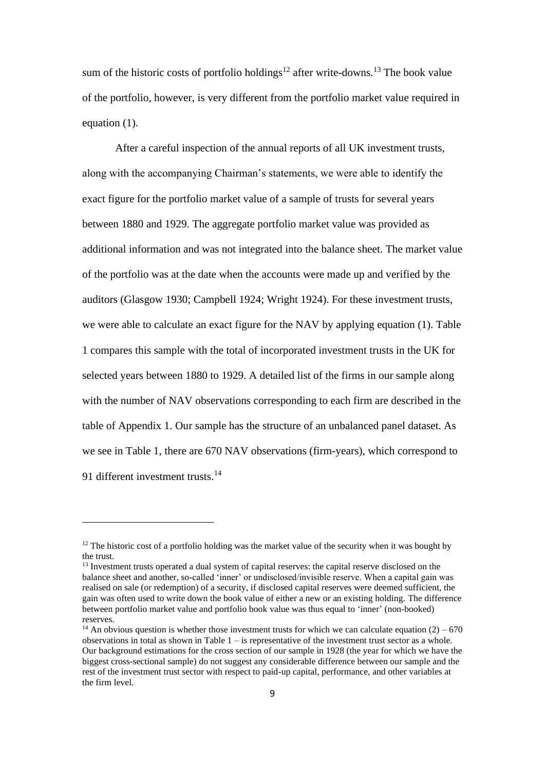sum of the historic costs of portfolio holdings<sup>12</sup> after write-downs.<sup>13</sup> The book value of the portfolio, however, is very different from the portfolio market value required in equation (1).

After a careful inspection of the annual reports of all UK investment trusts, along with the accompanying Chairman's statements, we were able to identify the exact figure for the portfolio market value of a sample of trusts for several years between 1880 and 1929. The aggregate portfolio market value was provided as additional information and was not integrated into the balance sheet. The market value of the portfolio was at the date when the accounts were made up and verified by the auditors (Glasgow 1930; Campbell 1924; Wright 1924). For these investment trusts, we were able to calculate an exact figure for the NAV by applying equation (1). Table 1 compares this sample with the total of incorporated investment trusts in the UK for selected years between 1880 to 1929. A detailed list of the firms in our sample along with the number of NAV observations corresponding to each firm are described in the table of Appendix 1. Our sample has the structure of an unbalanced panel dataset. As we see in Table 1, there are 670 NAV observations (firm-years), which correspond to 91 different investment trusts.<sup>14</sup>

 $12$  The historic cost of a portfolio holding was the market value of the security when it was bought by the trust.

<sup>&</sup>lt;sup>13</sup> Investment trusts operated a dual system of capital reserves: the capital reserve disclosed on the balance sheet and another, so-called 'inner' or undisclosed/invisible reserve. When a capital gain was realised on sale (or redemption) of a security, if disclosed capital reserves were deemed sufficient, the gain was often used to write down the book value of either a new or an existing holding. The difference between portfolio market value and portfolio book value was thus equal to 'inner' (non-booked) reserves.

<sup>&</sup>lt;sup>14</sup> An obvious question is whether those investment trusts for which we can calculate equation (2) – 670 observations in total as shown in Table  $1 -$  is representative of the investment trust sector as a whole. Our background estimations for the cross section of our sample in 1928 (the year for which we have the biggest cross-sectional sample) do not suggest any considerable difference between our sample and the rest of the investment trust sector with respect to paid-up capital, performance, and other variables at the firm level.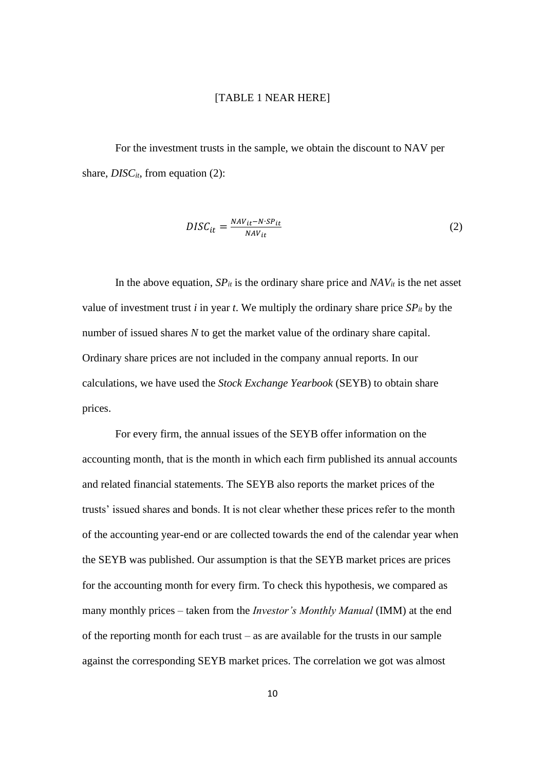#### [TABLE 1 NEAR HERE]

For the investment trusts in the sample, we obtain the discount to NAV per share, *DISC<sub>it</sub>*, from equation (2):

$$
DISC_{it} = \frac{NAV_{it} - N\cdot SP_{it}}{NAV_{it}}\tag{2}
$$

In the above equation,  $SP_{it}$  is the ordinary share price and  $NAV_{it}$  is the net asset value of investment trust *i* in year *t*. We multiply the ordinary share price  $SP_{it}$  by the number of issued shares *N* to get the market value of the ordinary share capital. Ordinary share prices are not included in the company annual reports. In our calculations, we have used the *Stock Exchange Yearbook* (SEYB) to obtain share prices.

For every firm, the annual issues of the SEYB offer information on the accounting month, that is the month in which each firm published its annual accounts and related financial statements. The SEYB also reports the market prices of the trusts' issued shares and bonds. It is not clear whether these prices refer to the month of the accounting year-end or are collected towards the end of the calendar year when the SEYB was published. Our assumption is that the SEYB market prices are prices for the accounting month for every firm. To check this hypothesis, we compared as many monthly prices – taken from the *Investor's Monthly Manual* (IMM) at the end of the reporting month for each trust – as are available for the trusts in our sample against the corresponding SEYB market prices. The correlation we got was almost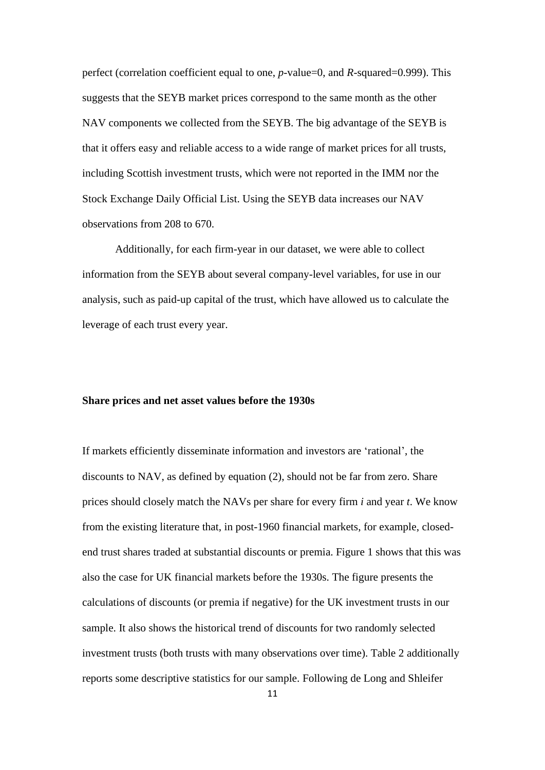perfect (correlation coefficient equal to one, *p*-value=0, and *R*-squared=0.999). This suggests that the SEYB market prices correspond to the same month as the other NAV components we collected from the SEYB. The big advantage of the SEYB is that it offers easy and reliable access to a wide range of market prices for all trusts, including Scottish investment trusts, which were not reported in the IMM nor the Stock Exchange Daily Official List. Using the SEYB data increases our NAV observations from 208 to 670.

Additionally, for each firm-year in our dataset, we were able to collect information from the SEYB about several company-level variables, for use in our analysis, such as paid-up capital of the trust, which have allowed us to calculate the leverage of each trust every year.

#### **Share prices and net asset values before the 1930s**

If markets efficiently disseminate information and investors are 'rational', the discounts to NAV, as defined by equation (2), should not be far from zero. Share prices should closely match the NAVs per share for every firm *i* and year *t*. We know from the existing literature that, in post-1960 financial markets, for example, closedend trust shares traded at substantial discounts or premia. Figure 1 shows that this was also the case for UK financial markets before the 1930s. The figure presents the calculations of discounts (or premia if negative) for the UK investment trusts in our sample. It also shows the historical trend of discounts for two randomly selected investment trusts (both trusts with many observations over time). Table 2 additionally reports some descriptive statistics for our sample. Following de Long and Shleifer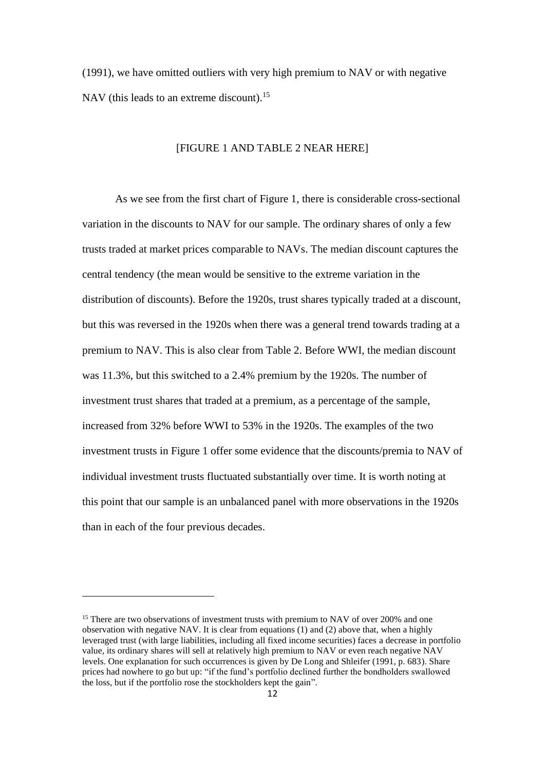(1991), we have omitted outliers with very high premium to NAV or with negative NAV (this leads to an extreme discount).<sup>15</sup>

# [FIGURE 1 AND TABLE 2 NEAR HERE]

As we see from the first chart of Figure 1, there is considerable cross-sectional variation in the discounts to NAV for our sample. The ordinary shares of only a few trusts traded at market prices comparable to NAVs. The median discount captures the central tendency (the mean would be sensitive to the extreme variation in the distribution of discounts). Before the 1920s, trust shares typically traded at a discount, but this was reversed in the 1920s when there was a general trend towards trading at a premium to NAV. This is also clear from Table 2. Before WWI, the median discount was 11.3%, but this switched to a 2.4% premium by the 1920s. The number of investment trust shares that traded at a premium, as a percentage of the sample, increased from 32% before WWI to 53% in the 1920s. The examples of the two investment trusts in Figure 1 offer some evidence that the discounts/premia to NAV of individual investment trusts fluctuated substantially over time. It is worth noting at this point that our sample is an unbalanced panel with more observations in the 1920s than in each of the four previous decades.

<sup>&</sup>lt;sup>15</sup> There are two observations of investment trusts with premium to NAV of over 200% and one observation with negative NAV. It is clear from equations (1) and (2) above that, when a highly leveraged trust (with large liabilities, including all fixed income securities) faces a decrease in portfolio value, its ordinary shares will sell at relatively high premium to NAV or even reach negative NAV levels. One explanation for such occurrences is given by De Long and Shleifer (1991, p. 683). Share prices had nowhere to go but up: "if the fund's portfolio declined further the bondholders swallowed the loss, but if the portfolio rose the stockholders kept the gain".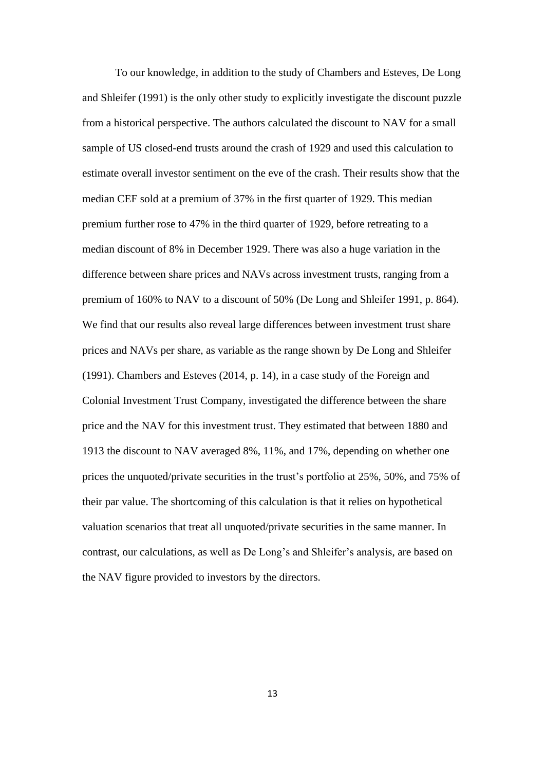To our knowledge, in addition to the study of Chambers and Esteves, De Long and Shleifer (1991) is the only other study to explicitly investigate the discount puzzle from a historical perspective. The authors calculated the discount to NAV for a small sample of US closed-end trusts around the crash of 1929 and used this calculation to estimate overall investor sentiment on the eve of the crash. Their results show that the median CEF sold at a premium of 37% in the first quarter of 1929. This median premium further rose to 47% in the third quarter of 1929, before retreating to a median discount of 8% in December 1929. There was also a huge variation in the difference between share prices and NAVs across investment trusts, ranging from a premium of 160% to NAV to a discount of 50% (De Long and Shleifer 1991, p. 864). We find that our results also reveal large differences between investment trust share prices and NAVs per share, as variable as the range shown by De Long and Shleifer (1991). Chambers and Esteves (2014, p. 14), in a case study of the Foreign and Colonial Investment Trust Company, investigated the difference between the share price and the NAV for this investment trust. They estimated that between 1880 and 1913 the discount to NAV averaged 8%, 11%, and 17%, depending on whether one prices the unquoted/private securities in the trust's portfolio at 25%, 50%, and 75% of their par value. The shortcoming of this calculation is that it relies on hypothetical valuation scenarios that treat all unquoted/private securities in the same manner. In contrast, our calculations, as well as De Long's and Shleifer's analysis, are based on the NAV figure provided to investors by the directors.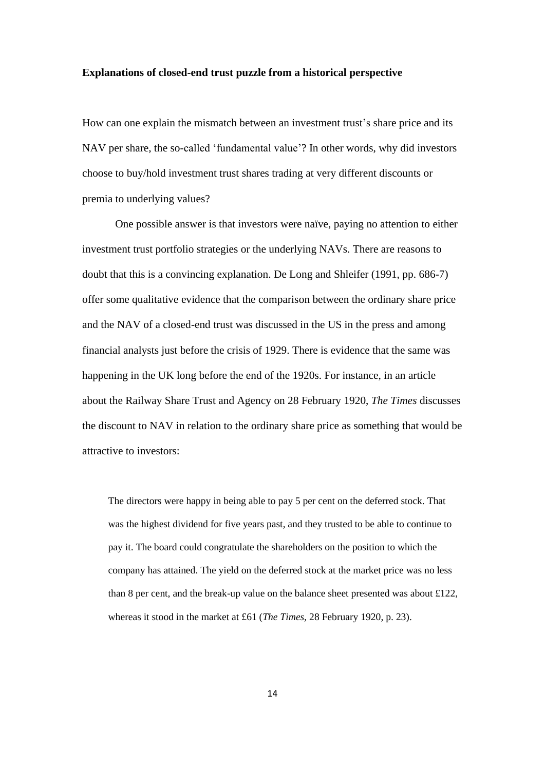#### **Explanations of closed-end trust puzzle from a historical perspective**

How can one explain the mismatch between an investment trust's share price and its NAV per share, the so-called 'fundamental value'? In other words, why did investors choose to buy/hold investment trust shares trading at very different discounts or premia to underlying values?

One possible answer is that investors were naïve, paying no attention to either investment trust portfolio strategies or the underlying NAVs. There are reasons to doubt that this is a convincing explanation. De Long and Shleifer (1991, pp. 686-7) offer some qualitative evidence that the comparison between the ordinary share price and the NAV of a closed-end trust was discussed in the US in the press and among financial analysts just before the crisis of 1929. There is evidence that the same was happening in the UK long before the end of the 1920s. For instance, in an article about the Railway Share Trust and Agency on 28 February 1920, *The Times* discusses the discount to NAV in relation to the ordinary share price as something that would be attractive to investors:

The directors were happy in being able to pay 5 per cent on the deferred stock. That was the highest dividend for five years past, and they trusted to be able to continue to pay it. The board could congratulate the shareholders on the position to which the company has attained. The yield on the deferred stock at the market price was no less than 8 per cent, and the break-up value on the balance sheet presented was about  $\pounds$ 122, whereas it stood in the market at £61 (*The Times,* 28 February 1920, p. 23).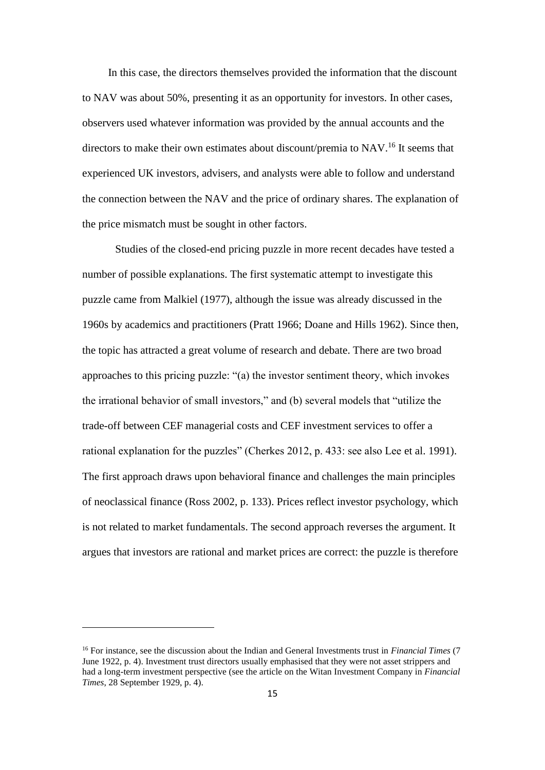In this case, the directors themselves provided the information that the discount to NAV was about 50%, presenting it as an opportunity for investors. In other cases, observers used whatever information was provided by the annual accounts and the directors to make their own estimates about discount/premia to NAV. <sup>16</sup> It seems that experienced UK investors, advisers, and analysts were able to follow and understand the connection between the NAV and the price of ordinary shares. The explanation of the price mismatch must be sought in other factors.

Studies of the closed-end pricing puzzle in more recent decades have tested a number of possible explanations. The first systematic attempt to investigate this puzzle came from Malkiel (1977), although the issue was already discussed in the 1960s by academics and practitioners (Pratt 1966; Doane and Hills 1962). Since then, the topic has attracted a great volume of research and debate. There are two broad approaches to this pricing puzzle: "(a) the investor sentiment theory, which invokes the irrational behavior of small investors," and (b) several models that "utilize the trade-off between CEF managerial costs and CEF investment services to offer a rational explanation for the puzzles" (Cherkes 2012, p. 433: see also Lee et al. 1991). The first approach draws upon behavioral finance and challenges the main principles of neoclassical finance (Ross 2002, p. 133). Prices reflect investor psychology, which is not related to market fundamentals. The second approach reverses the argument. It argues that investors are rational and market prices are correct: the puzzle is therefore

<sup>16</sup> For instance, see the discussion about the Indian and General Investments trust in *Financial Times* (7 June 1922, p. 4). Investment trust directors usually emphasised that they were not asset strippers and had a long-term investment perspective (see the article on the Witan Investment Company in *Financial Times*, 28 September 1929, p. 4).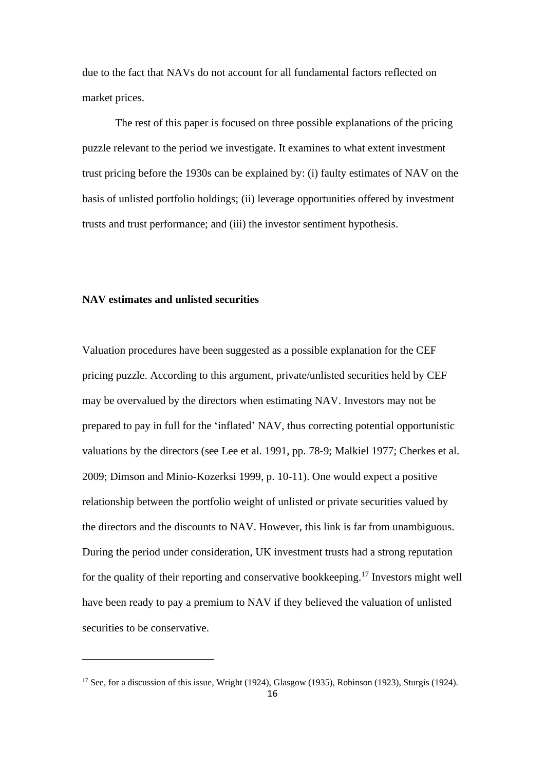due to the fact that NAVs do not account for all fundamental factors reflected on market prices.

The rest of this paper is focused on three possible explanations of the pricing puzzle relevant to the period we investigate. It examines to what extent investment trust pricing before the 1930s can be explained by: (i) faulty estimates of NAV on the basis of unlisted portfolio holdings; (ii) leverage opportunities offered by investment trusts and trust performance; and (iii) the investor sentiment hypothesis.

# **NAV estimates and unlisted securities**

Valuation procedures have been suggested as a possible explanation for the CEF pricing puzzle. According to this argument, private/unlisted securities held by CEF may be overvalued by the directors when estimating NAV. Investors may not be prepared to pay in full for the 'inflated' NAV, thus correcting potential opportunistic valuations by the directors (see Lee et al. 1991, pp. 78-9; Malkiel 1977; Cherkes et al. 2009; Dimson and Minio-Kozerksi 1999, p. 10-11). One would expect a positive relationship between the portfolio weight of unlisted or private securities valued by the directors and the discounts to NAV. However, this link is far from unambiguous. During the period under consideration, UK investment trusts had a strong reputation for the quality of their reporting and conservative bookkeeping.<sup>17</sup> Investors might well have been ready to pay a premium to NAV if they believed the valuation of unlisted securities to be conservative.

<sup>&</sup>lt;sup>17</sup> See, for a discussion of this issue, Wright (1924), Glasgow (1935), Robinson (1923), Sturgis (1924).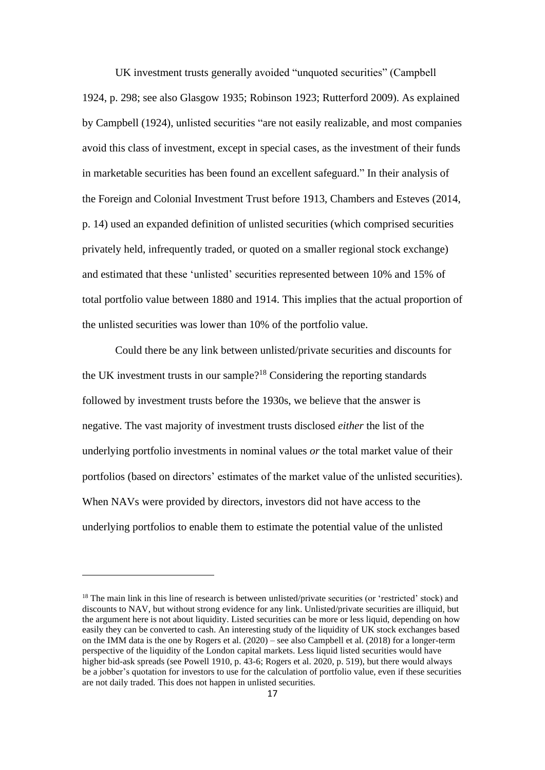UK investment trusts generally avoided "unquoted securities" (Campbell 1924, p. 298; see also Glasgow 1935; Robinson 1923; Rutterford 2009). As explained by Campbell (1924), unlisted securities "are not easily realizable, and most companies avoid this class of investment, except in special cases, as the investment of their funds in marketable securities has been found an excellent safeguard." In their analysis of the Foreign and Colonial Investment Trust before 1913, Chambers and Esteves (2014, p. 14) used an expanded definition of unlisted securities (which comprised securities privately held, infrequently traded, or quoted on a smaller regional stock exchange) and estimated that these 'unlisted' securities represented between 10% and 15% of total portfolio value between 1880 and 1914. This implies that the actual proportion of the unlisted securities was lower than 10% of the portfolio value.

Could there be any link between unlisted/private securities and discounts for the UK investment trusts in our sample?<sup>18</sup> Considering the reporting standards followed by investment trusts before the 1930s, we believe that the answer is negative. The vast majority of investment trusts disclosed *either* the list of the underlying portfolio investments in nominal values *or* the total market value of their portfolios (based on directors' estimates of the market value of the unlisted securities). When NAVs were provided by directors, investors did not have access to the underlying portfolios to enable them to estimate the potential value of the unlisted

<sup>&</sup>lt;sup>18</sup> The main link in this line of research is between unlisted/private securities (or 'restricted' stock) and discounts to NAV, but without strong evidence for any link. Unlisted/private securities are illiquid, but the argument here is not about liquidity. Listed securities can be more or less liquid, depending on how easily they can be converted to cash. An interesting study of the liquidity of UK stock exchanges based on the IMM data is the one by Rogers et al. (2020) – see also Campbell et al. (2018) for a longer-term perspective of the liquidity of the London capital markets. Less liquid listed securities would have higher bid-ask spreads (see Powell 1910, p. 43-6; Rogers et al. 2020, p. 519), but there would always be a jobber's quotation for investors to use for the calculation of portfolio value, even if these securities are not daily traded. This does not happen in unlisted securities.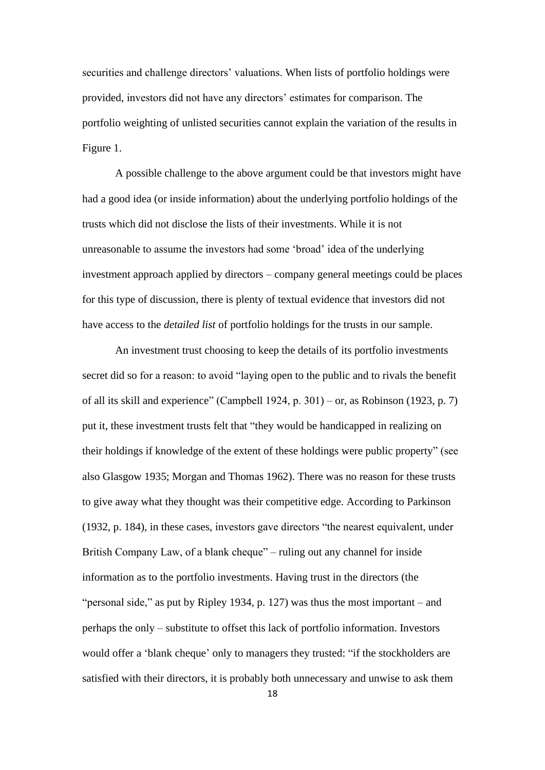securities and challenge directors' valuations. When lists of portfolio holdings were provided, investors did not have any directors' estimates for comparison. The portfolio weighting of unlisted securities cannot explain the variation of the results in Figure 1.

A possible challenge to the above argument could be that investors might have had a good idea (or inside information) about the underlying portfolio holdings of the trusts which did not disclose the lists of their investments. While it is not unreasonable to assume the investors had some 'broad' idea of the underlying investment approach applied by directors – company general meetings could be places for this type of discussion, there is plenty of textual evidence that investors did not have access to the *detailed list* of portfolio holdings for the trusts in our sample.

An investment trust choosing to keep the details of its portfolio investments secret did so for a reason: to avoid "laying open to the public and to rivals the benefit of all its skill and experience" (Campbell 1924, p. 301) – or, as Robinson (1923, p. 7) put it, these investment trusts felt that "they would be handicapped in realizing on their holdings if knowledge of the extent of these holdings were public property" (see also Glasgow 1935; Morgan and Thomas 1962). There was no reason for these trusts to give away what they thought was their competitive edge. According to Parkinson (1932, p. 184), in these cases, investors gave directors "the nearest equivalent, under British Company Law, of a blank cheque" – ruling out any channel for inside information as to the portfolio investments. Having trust in the directors (the "personal side," as put by Ripley 1934, p. 127) was thus the most important – and perhaps the only – substitute to offset this lack of portfolio information. Investors would offer a 'blank cheque' only to managers they trusted: "if the stockholders are satisfied with their directors, it is probably both unnecessary and unwise to ask them

18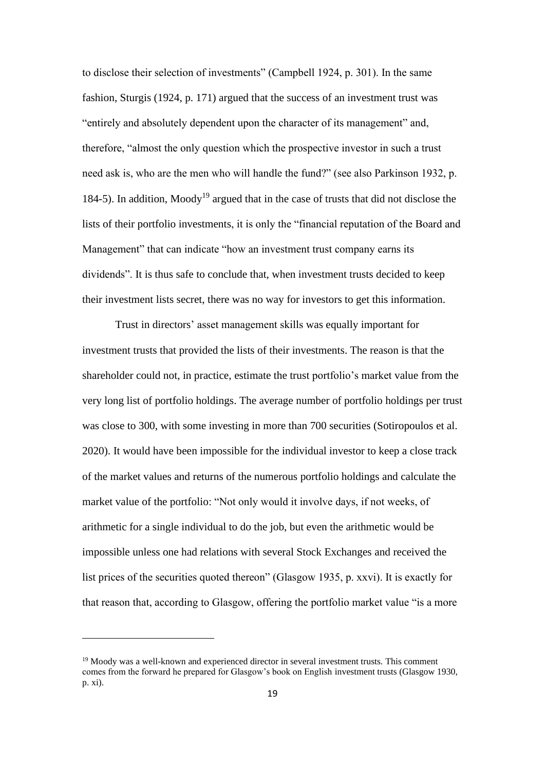to disclose their selection of investments" (Campbell 1924, p. 301). In the same fashion, Sturgis (1924, p. 171) argued that the success of an investment trust was "entirely and absolutely dependent upon the character of its management" and, therefore, "almost the only question which the prospective investor in such a trust need ask is, who are the men who will handle the fund?" (see also Parkinson 1932, p. 184-5). In addition, Moody<sup>19</sup> argued that in the case of trusts that did not disclose the lists of their portfolio investments, it is only the "financial reputation of the Board and Management" that can indicate "how an investment trust company earns its dividends". It is thus safe to conclude that, when investment trusts decided to keep their investment lists secret, there was no way for investors to get this information.

Trust in directors' asset management skills was equally important for investment trusts that provided the lists of their investments. The reason is that the shareholder could not, in practice, estimate the trust portfolio's market value from the very long list of portfolio holdings. The average number of portfolio holdings per trust was close to 300, with some investing in more than 700 securities (Sotiropoulos et al. 2020). It would have been impossible for the individual investor to keep a close track of the market values and returns of the numerous portfolio holdings and calculate the market value of the portfolio: "Not only would it involve days, if not weeks, of arithmetic for a single individual to do the job, but even the arithmetic would be impossible unless one had relations with several Stock Exchanges and received the list prices of the securities quoted thereon" (Glasgow 1935, p. xxvi). It is exactly for that reason that, according to Glasgow, offering the portfolio market value "is a more

<sup>&</sup>lt;sup>19</sup> Moody was a well-known and experienced director in several investment trusts. This comment comes from the forward he prepared for Glasgow's book on English investment trusts (Glasgow 1930, p. xi).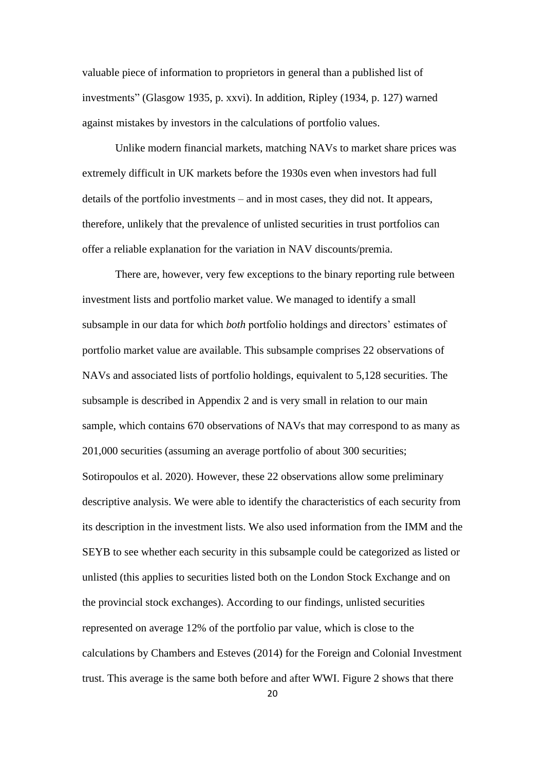valuable piece of information to proprietors in general than a published list of investments" (Glasgow 1935, p. xxvi). In addition, Ripley (1934, p. 127) warned against mistakes by investors in the calculations of portfolio values.

Unlike modern financial markets, matching NAVs to market share prices was extremely difficult in UK markets before the 1930s even when investors had full details of the portfolio investments – and in most cases, they did not. It appears, therefore, unlikely that the prevalence of unlisted securities in trust portfolios can offer a reliable explanation for the variation in NAV discounts/premia.

There are, however, very few exceptions to the binary reporting rule between investment lists and portfolio market value. We managed to identify a small subsample in our data for which *both* portfolio holdings and directors' estimates of portfolio market value are available. This subsample comprises 22 observations of NAVs and associated lists of portfolio holdings, equivalent to 5,128 securities. The subsample is described in Appendix 2 and is very small in relation to our main sample, which contains 670 observations of NAVs that may correspond to as many as 201,000 securities (assuming an average portfolio of about 300 securities; Sotiropoulos et al. 2020). However, these 22 observations allow some preliminary descriptive analysis. We were able to identify the characteristics of each security from its description in the investment lists. We also used information from the IMM and the SEYB to see whether each security in this subsample could be categorized as listed or unlisted (this applies to securities listed both on the London Stock Exchange and on the provincial stock exchanges). According to our findings, unlisted securities represented on average 12% of the portfolio par value, which is close to the calculations by Chambers and Esteves (2014) for the Foreign and Colonial Investment trust. This average is the same both before and after WWI. Figure 2 shows that there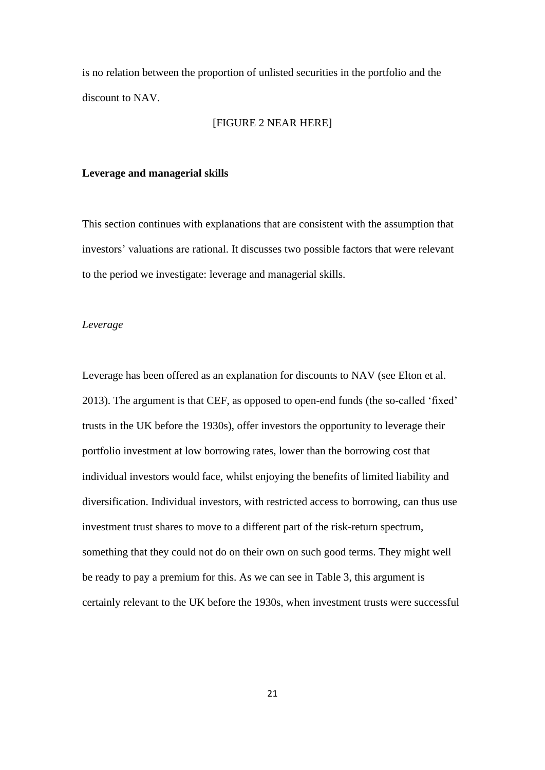is no relation between the proportion of unlisted securities in the portfolio and the discount to NAV.

#### [FIGURE 2 NEAR HERE]

#### **Leverage and managerial skills**

This section continues with explanations that are consistent with the assumption that investors' valuations are rational. It discusses two possible factors that were relevant to the period we investigate: leverage and managerial skills.

# *Leverage*

Leverage has been offered as an explanation for discounts to NAV (see Elton et al. 2013). The argument is that CEF, as opposed to open-end funds (the so-called 'fixed' trusts in the UK before the 1930s), offer investors the opportunity to leverage their portfolio investment at low borrowing rates, lower than the borrowing cost that individual investors would face, whilst enjoying the benefits of limited liability and diversification. Individual investors, with restricted access to borrowing, can thus use investment trust shares to move to a different part of the risk-return spectrum, something that they could not do on their own on such good terms. They might well be ready to pay a premium for this. As we can see in Table 3, this argument is certainly relevant to the UK before the 1930s, when investment trusts were successful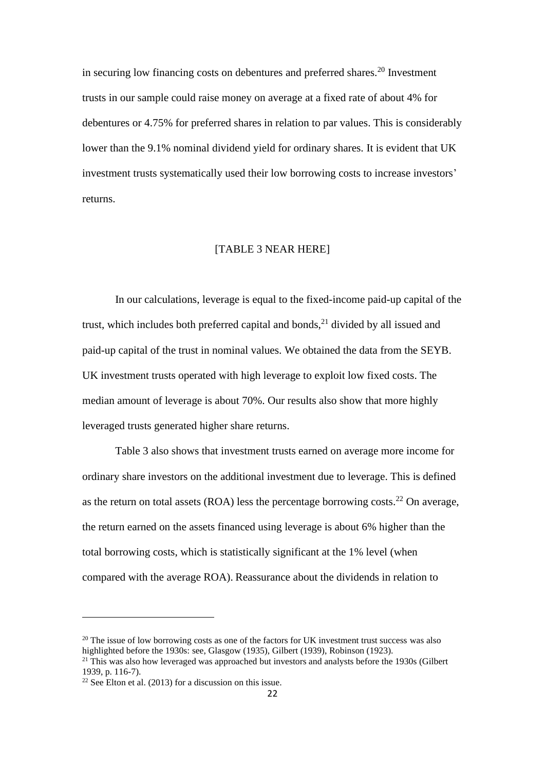in securing low financing costs on debentures and preferred shares.<sup>20</sup> Investment trusts in our sample could raise money on average at a fixed rate of about 4% for debentures or 4.75% for preferred shares in relation to par values. This is considerably lower than the 9.1% nominal dividend yield for ordinary shares. It is evident that UK investment trusts systematically used their low borrowing costs to increase investors' returns.

# [TABLE 3 NEAR HERE]

In our calculations, leverage is equal to the fixed-income paid-up capital of the trust, which includes both preferred capital and bonds, $^{21}$  divided by all issued and paid-up capital of the trust in nominal values. We obtained the data from the SEYB. UK investment trusts operated with high leverage to exploit low fixed costs. The median amount of leverage is about 70%. Our results also show that more highly leveraged trusts generated higher share returns.

Table 3 also shows that investment trusts earned on average more income for ordinary share investors on the additional investment due to leverage. This is defined as the return on total assets (ROA) less the percentage borrowing costs.<sup>22</sup> On average, the return earned on the assets financed using leverage is about 6% higher than the total borrowing costs, which is statistically significant at the 1% level (when compared with the average ROA). Reassurance about the dividends in relation to

 $20$  The issue of low borrowing costs as one of the factors for UK investment trust success was also highlighted before the 1930s: see, Glasgow (1935), Gilbert (1939), Robinson (1923).  $21$ <sup>This</sup> was also how leveraged was approached but investors and analysts before the 1930s (Gilbert

<sup>1939,</sup> p. 116-7).

 $22$  See Elton et al. (2013) for a discussion on this issue.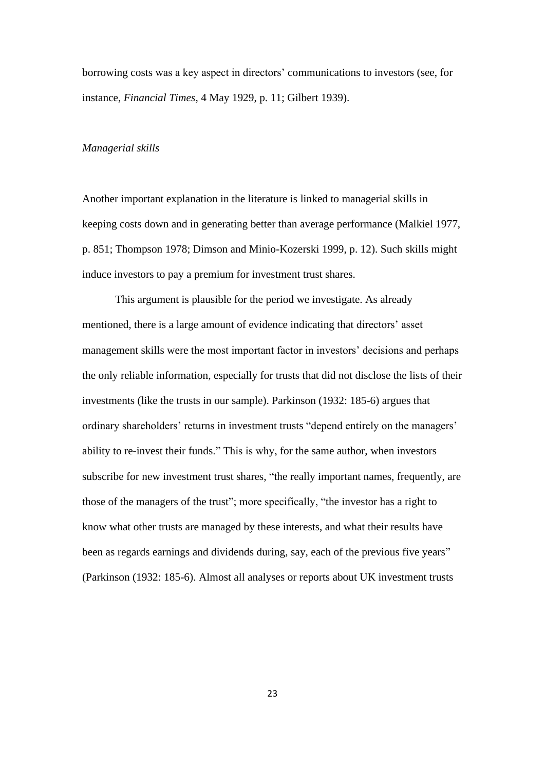borrowing costs was a key aspect in directors' communications to investors (see, for instance, *Financial Times*, 4 May 1929, p. 11; Gilbert 1939).

#### *Managerial skills*

Another important explanation in the literature is linked to managerial skills in keeping costs down and in generating better than average performance (Malkiel 1977, p. 851; Thompson 1978; Dimson and Minio-Kozerski 1999, p. 12). Such skills might induce investors to pay a premium for investment trust shares.

This argument is plausible for the period we investigate. As already mentioned, there is a large amount of evidence indicating that directors' asset management skills were the most important factor in investors' decisions and perhaps the only reliable information, especially for trusts that did not disclose the lists of their investments (like the trusts in our sample). Parkinson (1932: 185-6) argues that ordinary shareholders' returns in investment trusts "depend entirely on the managers' ability to re-invest their funds." This is why, for the same author, when investors subscribe for new investment trust shares, "the really important names, frequently, are those of the managers of the trust"; more specifically, "the investor has a right to know what other trusts are managed by these interests, and what their results have been as regards earnings and dividends during, say, each of the previous five years" (Parkinson (1932: 185-6). Almost all analyses or reports about UK investment trusts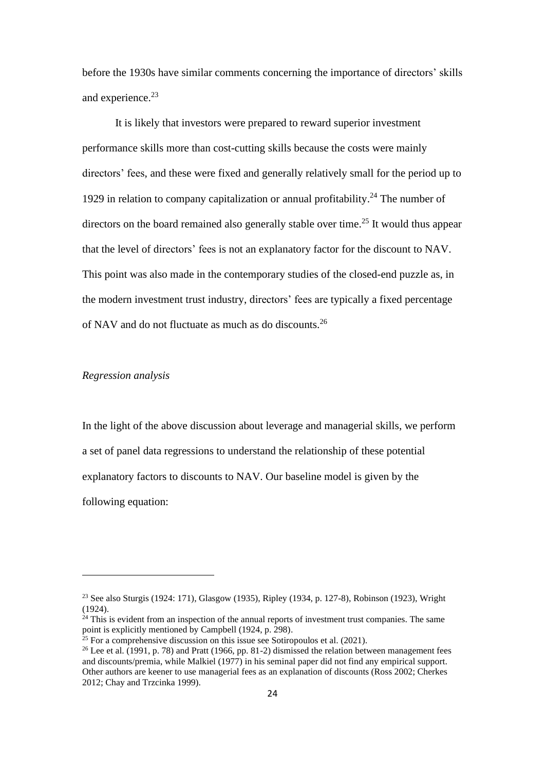before the 1930s have similar comments concerning the importance of directors' skills and experience.<sup>23</sup>

It is likely that investors were prepared to reward superior investment performance skills more than cost-cutting skills because the costs were mainly directors' fees, and these were fixed and generally relatively small for the period up to 1929 in relation to company capitalization or annual profitability.<sup>24</sup> The number of directors on the board remained also generally stable over time.<sup>25</sup> It would thus appear that the level of directors' fees is not an explanatory factor for the discount to NAV. This point was also made in the contemporary studies of the closed-end puzzle as, in the modern investment trust industry, directors' fees are typically a fixed percentage of NAV and do not fluctuate as much as do discounts.<sup>26</sup>

# *Regression analysis*

In the light of the above discussion about leverage and managerial skills, we perform a set of panel data regressions to understand the relationship of these potential explanatory factors to discounts to NAV. Our baseline model is given by the following equation:

<sup>23</sup> See also Sturgis (1924: 171), Glasgow (1935), Ripley (1934, p. 127-8), Robinson (1923), Wright  $(1924)$ .

 $24$  This is evident from an inspection of the annual reports of investment trust companies. The same point is explicitly mentioned by Campbell (1924, p. 298).

 $25$  For a comprehensive discussion on this issue see Sotiropoulos et al. (2021).

<sup>&</sup>lt;sup>26</sup> Lee et al. (1991, p. 78) and Pratt (1966, pp. 81-2) dismissed the relation between management fees and discounts/premia, while Malkiel (1977) in his seminal paper did not find any empirical support. Other authors are keener to use managerial fees as an explanation of discounts (Ross 2002; Cherkes 2012; Chay and Trzcinka 1999).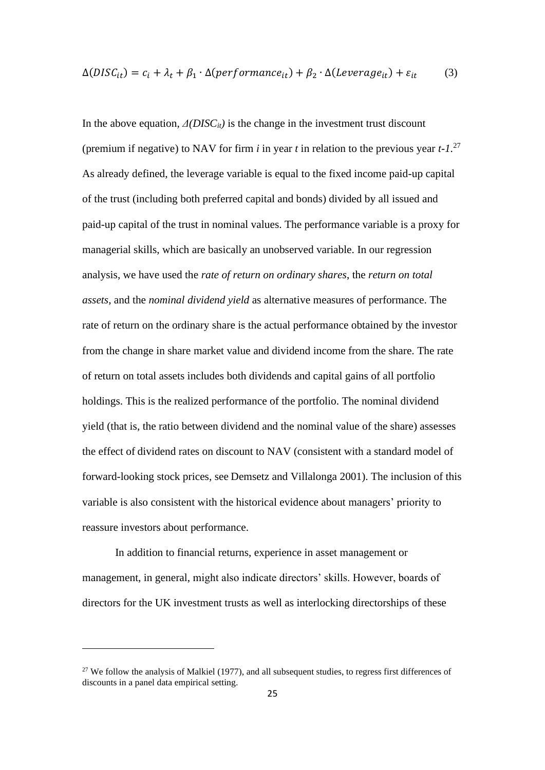$$
\Delta(DISC_{it}) = c_i + \lambda_t + \beta_1 \cdot \Delta(performance_{it}) + \beta_2 \cdot \Delta(Leverage_{it}) + \varepsilon_{it}
$$
 (3)

In the above equation,  $\Delta(DISC_{it})$  is the change in the investment trust discount (premium if negative) to NAV for firm *i* in year *t* in relation to the previous year *t-1*. 27 As already defined, the leverage variable is equal to the fixed income paid-up capital of the trust (including both preferred capital and bonds) divided by all issued and paid-up capital of the trust in nominal values. The performance variable is a proxy for managerial skills, which are basically an unobserved variable. In our regression analysis, we have used the *rate of return on ordinary shares*, the *return on total assets*, and the *nominal dividend yield* as alternative measures of performance. The rate of return on the ordinary share is the actual performance obtained by the investor from the change in share market value and dividend income from the share. The rate of return on total assets includes both dividends and capital gains of all portfolio holdings. This is the realized performance of the portfolio. The nominal dividend yield (that is, the ratio between dividend and the nominal value of the share) assesses the effect of dividend rates on discount to NAV (consistent with a standard model of forward-looking stock prices, see Demsetz and Villalonga 2001). The inclusion of this variable is also consistent with the historical evidence about managers' priority to reassure investors about performance.

In addition to financial returns, experience in asset management or management, in general, might also indicate directors' skills. However, boards of directors for the UK investment trusts as well as interlocking directorships of these

 $27$  We follow the analysis of Malkiel (1977), and all subsequent studies, to regress first differences of discounts in a panel data empirical setting.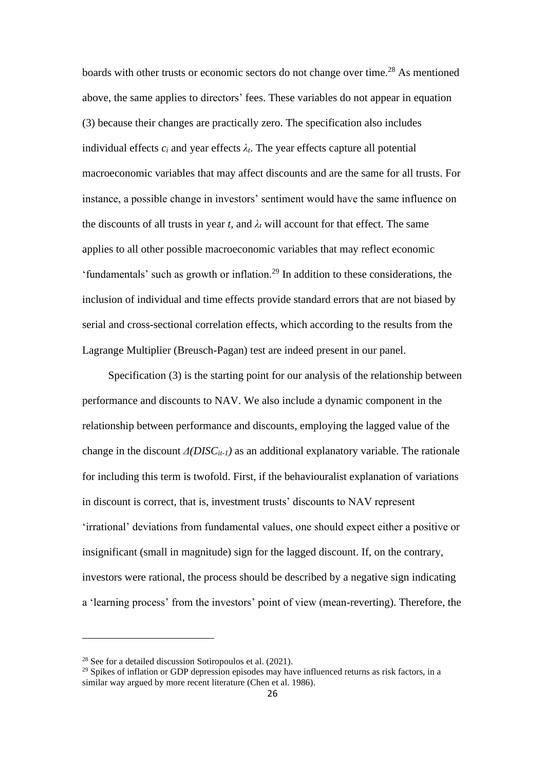boards with other trusts or economic sectors do not change over time.<sup>28</sup> As mentioned above, the same applies to directors' fees. These variables do not appear in equation (3) because their changes are practically zero. The specification also includes individual effects  $c_i$  and year effects  $\lambda_t$ . The year effects capture all potential macroeconomic variables that may affect discounts and are the same for all trusts. For instance, a possible change in investors' sentiment would have the same influence on the discounts of all trusts in year *t*, and  $\lambda_t$  will account for that effect. The same applies to all other possible macroeconomic variables that may reflect economic 'fundamentals' such as growth or inflation.<sup>29</sup> In addition to these considerations, the inclusion of individual and time effects provide standard errors that are not biased by serial and cross-sectional correlation effects, which according to the results from the Lagrange Multiplier (Breusch-Pagan) test are indeed present in our panel.

Specification (3) is the starting point for our analysis of the relationship between performance and discounts to NAV. We also include a dynamic component in the relationship between performance and discounts, employing the lagged value of the change in the discount *Δ(DISCit-1)* as an additional explanatory variable. The rationale for including this term is twofold. First, if the behaviouralist explanation of variations in discount is correct, that is, investment trusts' discounts to NAV represent 'irrational' deviations from fundamental values, one should expect either a positive or insignificant (small in magnitude) sign for the lagged discount. If, on the contrary, investors were rational, the process should be described by a negative sign indicating a 'learning process' from the investors' point of view (mean-reverting). Therefore, the

<sup>28</sup> See for a detailed discussion Sotiropoulos et al. (2021).

 $29$  Spikes of inflation or GDP depression episodes may have influenced returns as risk factors, in a similar way argued by more recent literature (Chen et al. 1986).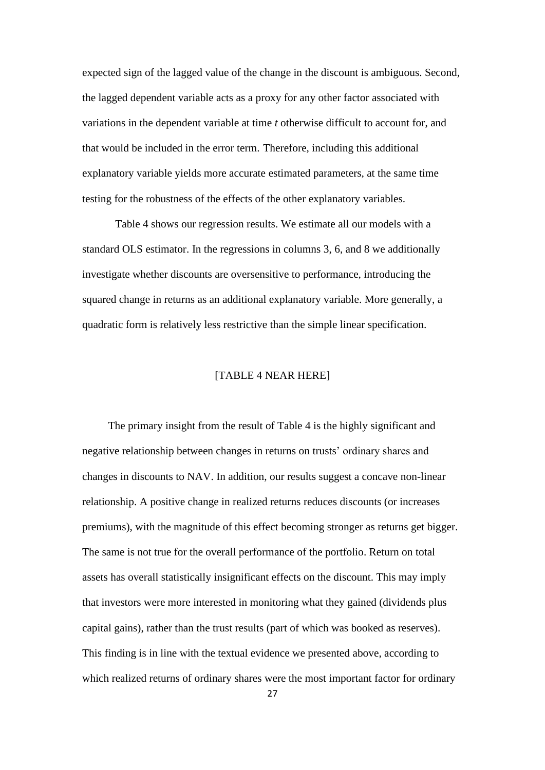expected sign of the lagged value of the change in the discount is ambiguous. Second, the lagged dependent variable acts as a proxy for any other factor associated with variations in the dependent variable at time *t* otherwise difficult to account for, and that would be included in the error term. Therefore, including this additional explanatory variable yields more accurate estimated parameters, at the same time testing for the robustness of the effects of the other explanatory variables.

Table 4 shows our regression results. We estimate all our models with a standard OLS estimator. In the regressions in columns 3, 6, and 8 we additionally investigate whether discounts are oversensitive to performance, introducing the squared change in returns as an additional explanatory variable. More generally, a quadratic form is relatively less restrictive than the simple linear specification.

### [TABLE 4 NEAR HERE]

The primary insight from the result of Table 4 is the highly significant and negative relationship between changes in returns on trusts' ordinary shares and changes in discounts to NAV. In addition, our results suggest a concave non-linear relationship. A positive change in realized returns reduces discounts (or increases premiums), with the magnitude of this effect becoming stronger as returns get bigger. The same is not true for the overall performance of the portfolio. Return on total assets has overall statistically insignificant effects on the discount. This may imply that investors were more interested in monitoring what they gained (dividends plus capital gains), rather than the trust results (part of which was booked as reserves). This finding is in line with the textual evidence we presented above, according to which realized returns of ordinary shares were the most important factor for ordinary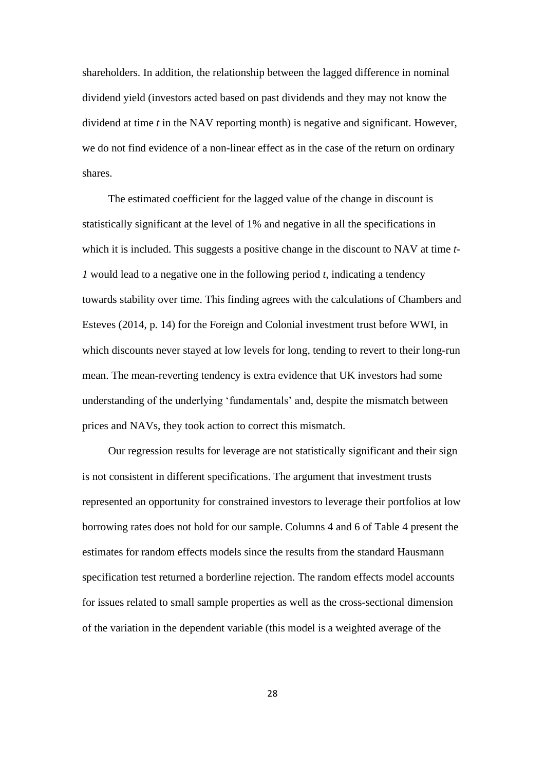shareholders. In addition, the relationship between the lagged difference in nominal dividend yield (investors acted based on past dividends and they may not know the dividend at time *t* in the NAV reporting month) is negative and significant. However, we do not find evidence of a non-linear effect as in the case of the return on ordinary shares.

The estimated coefficient for the lagged value of the change in discount is statistically significant at the level of 1% and negative in all the specifications in which it is included. This suggests a positive change in the discount to NAV at time *t-1* would lead to a negative one in the following period *t*, indicating a tendency towards stability over time. This finding agrees with the calculations of Chambers and Esteves (2014, p. 14) for the Foreign and Colonial investment trust before WWI, in which discounts never stayed at low levels for long, tending to revert to their long-run mean. The mean-reverting tendency is extra evidence that UK investors had some understanding of the underlying 'fundamentals' and, despite the mismatch between prices and NAVs, they took action to correct this mismatch.

Our regression results for leverage are not statistically significant and their sign is not consistent in different specifications. The argument that investment trusts represented an opportunity for constrained investors to leverage their portfolios at low borrowing rates does not hold for our sample. Columns 4 and 6 of Table 4 present the estimates for random effects models since the results from the standard Hausmann specification test returned a borderline rejection. The random effects model accounts for issues related to small sample properties as well as the cross-sectional dimension of the variation in the dependent variable (this model is a weighted average of the

28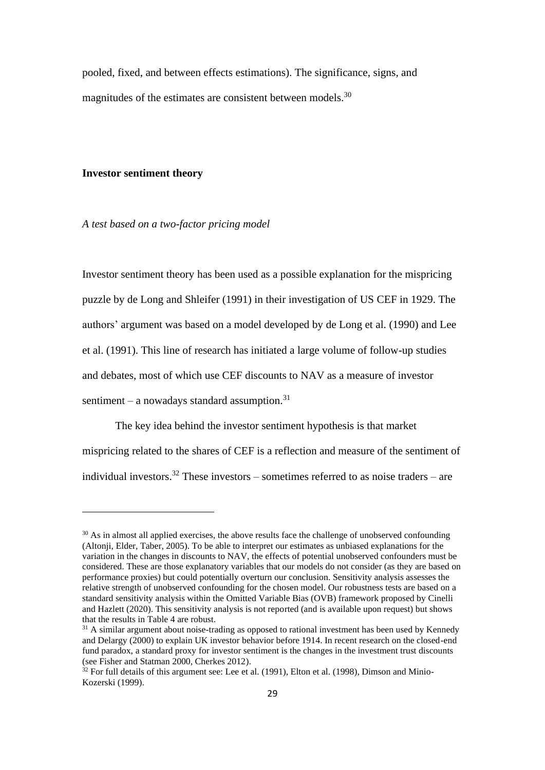pooled, fixed, and between effects estimations). The significance, signs, and magnitudes of the estimates are consistent between models.<sup>30</sup>

### **Investor sentiment theory**

*A test based on a two-factor pricing model*

Investor sentiment theory has been used as a possible explanation for the mispricing puzzle by de Long and Shleifer (1991) in their investigation of US CEF in 1929. The authors' argument was based on a model developed by de Long et al. (1990) and Lee et al. (1991). This line of research has initiated a large volume of follow-up studies and debates, most of which use CEF discounts to NAV as a measure of investor sentiment – a nowadays standard assumption. $31$ 

The key idea behind the investor sentiment hypothesis is that market mispricing related to the shares of CEF is a reflection and measure of the sentiment of individual investors.<sup>32</sup> These investors – sometimes referred to as noise traders – are

<sup>&</sup>lt;sup>30</sup> As in almost all applied exercises, the above results face the challenge of unobserved confounding (Altonji, Elder, Taber, 2005). To be able to interpret our estimates as unbiased explanations for the variation in the changes in discounts to NAV, the effects of potential unobserved confounders must be considered. These are those explanatory variables that our models do not consider (as they are based on performance proxies) but could potentially overturn our conclusion. Sensitivity analysis assesses the relative strength of unobserved confounding for the chosen model. Our robustness tests are based on a standard sensitivity analysis within the Omitted Variable Bias (OVB) framework proposed by Cinelli and Hazlett (2020). This sensitivity analysis is not reported (and is available upon request) but shows that the results in Table 4 are robust.

 $31$  A similar argument about noise-trading as opposed to rational investment has been used by Kennedy and Delargy (2000) to explain UK investor behavior before 1914. In recent research on the closed-end fund paradox, a standard proxy for investor sentiment is the changes in the investment trust discounts (see Fisher and Statman 2000, Cherkes 2012).

 $32$  For full details of this argument see: Lee et al. (1991), Elton et al. (1998), Dimson and Minio-Kozerski (1999).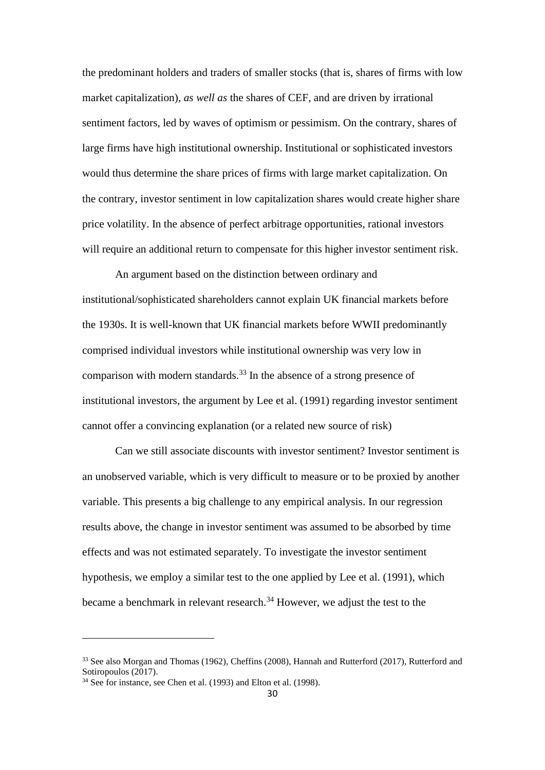the predominant holders and traders of smaller stocks (that is, shares of firms with low market capitalization), *as well as* the shares of CEF, and are driven by irrational sentiment factors, led by waves of optimism or pessimism. On the contrary, shares of large firms have high institutional ownership. Institutional or sophisticated investors would thus determine the share prices of firms with large market capitalization. On the contrary, investor sentiment in low capitalization shares would create higher share price volatility. In the absence of perfect arbitrage opportunities, rational investors will require an additional return to compensate for this higher investor sentiment risk.

An argument based on the distinction between ordinary and institutional/sophisticated shareholders cannot explain UK financial markets before the 1930s. It is well-known that UK financial markets before WWII predominantly comprised individual investors while institutional ownership was very low in comparison with modern standards.<sup>33</sup> In the absence of a strong presence of institutional investors, the argument by Lee et al. (1991) regarding investor sentiment cannot offer a convincing explanation (or a related new source of risk)

Can we still associate discounts with investor sentiment? Investor sentiment is an unobserved variable, which is very difficult to measure or to be proxied by another variable. This presents a big challenge to any empirical analysis. In our regression results above, the change in investor sentiment was assumed to be absorbed by time effects and was not estimated separately. To investigate the investor sentiment hypothesis, we employ a similar test to the one applied by Lee et al. (1991), which became a benchmark in relevant research.<sup>34</sup> However, we adjust the test to the

<sup>&</sup>lt;sup>33</sup> See also Morgan and Thomas (1962), Cheffins (2008), Hannah and Rutterford (2017), Rutterford and Sotiropoulos (2017).

<sup>&</sup>lt;sup>34</sup> See for instance, see Chen et al. (1993) and Elton et al. (1998).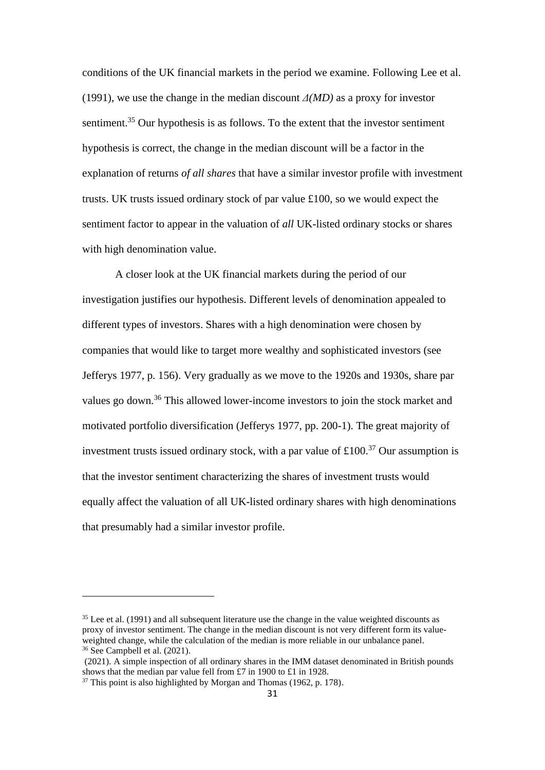conditions of the UK financial markets in the period we examine. Following Lee et al. (1991), we use the change in the median discount *Δ(MD)* as a proxy for investor sentiment.<sup>35</sup> Our hypothesis is as follows. To the extent that the investor sentiment hypothesis is correct, the change in the median discount will be a factor in the explanation of returns *of all shares* that have a similar investor profile with investment trusts. UK trusts issued ordinary stock of par value £100, so we would expect the sentiment factor to appear in the valuation of *all* UK-listed ordinary stocks or shares with high denomination value.

A closer look at the UK financial markets during the period of our investigation justifies our hypothesis. Different levels of denomination appealed to different types of investors. Shares with a high denomination were chosen by companies that would like to target more wealthy and sophisticated investors (see Jefferys 1977, p. 156). Very gradually as we move to the 1920s and 1930s, share par values go down.<sup>36</sup> This allowed lower-income investors to join the stock market and motivated portfolio diversification (Jefferys 1977, pp. 200-1). The great majority of investment trusts issued ordinary stock, with a par value of  $\pounds 100$ <sup>37</sup> Our assumption is that the investor sentiment characterizing the shares of investment trusts would equally affect the valuation of all UK-listed ordinary shares with high denominations that presumably had a similar investor profile.

<sup>&</sup>lt;sup>35</sup> Lee et al. (1991) and all subsequent literature use the change in the value weighted discounts as proxy of investor sentiment. The change in the median discount is not very different form its valueweighted change, while the calculation of the median is more reliable in our unbalance panel. <sup>36</sup> See Campbell et al. (2021).

<sup>(2021).</sup> A simple inspection of all ordinary shares in the IMM dataset denominated in British pounds shows that the median par value fell from £7 in 1900 to £1 in 1928.

<sup>&</sup>lt;sup>37</sup> This point is also highlighted by Morgan and Thomas (1962, p. 178).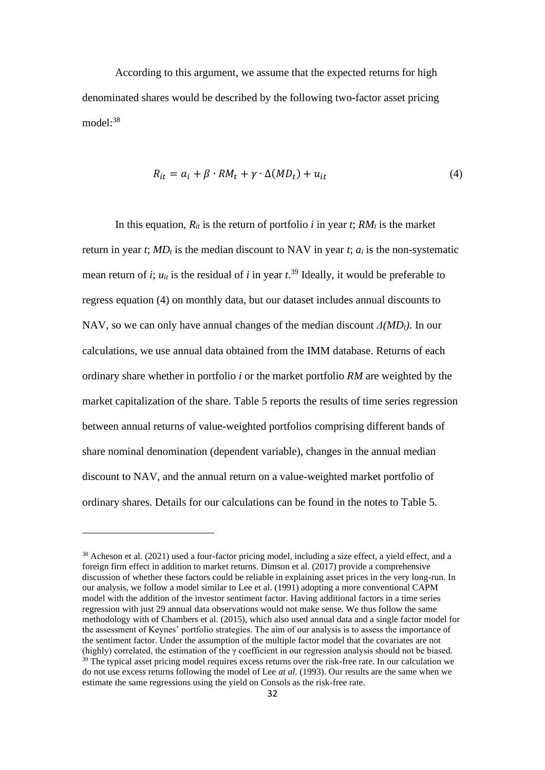According to this argument, we assume that the expected returns for high denominated shares would be described by the following two-factor asset pricing model:<sup>38</sup>

$$
R_{it} = a_i + \beta \cdot RM_t + \gamma \cdot \Delta(MD_t) + u_{it}
$$
\n<sup>(4)</sup>

In this equation,  $R_{it}$  is the return of portfolio *i* in year *t*;  $RM_t$  is the market return in year *t*; *MD<sup>t</sup>* is the median discount to NAV in year *t*; *a<sup>i</sup>* is the non-systematic mean return of *i*;  $u_{it}$  is the residual of *i* in year  $t^{39}$  Ideally, it would be preferable to regress equation (4) on monthly data, but our dataset includes annual discounts to NAV, so we can only have annual changes of the median discount *Δ(MDt)*. In our calculations, we use annual data obtained from the IMM database. Returns of each ordinary share whether in portfolio *i* or the market portfolio *RM* are weighted by the market capitalization of the share. Table 5 reports the results of time series regression between annual returns of value-weighted portfolios comprising different bands of share nominal denomination (dependent variable), changes in the annual median discount to NAV, and the annual return on a value-weighted market portfolio of ordinary shares. Details for our calculations can be found in the notes to Table 5.

<sup>&</sup>lt;sup>38</sup> Acheson et al. (2021) used a four-factor pricing model, including a size effect, a yield effect, and a foreign firm effect in addition to market returns. Dimson et al. (2017) provide a comprehensive discussion of whether these factors could be reliable in explaining asset prices in the very long-run. In our analysis, we follow a model similar to Lee et al. (1991) adopting a more conventional CAPM model with the addition of the investor sentiment factor. Having additional factors in a time series regression with just 29 annual data observations would not make sense. We thus follow the same methodology with of Chambers et al. (2015), which also used annual data and a single factor model for the assessment of Keynes' portfolio strategies. The aim of our analysis is to assess the importance of the sentiment factor. Under the assumption of the multiple factor model that the covariates are not (highly) correlated, the estimation of the  $\gamma$  coefficient in our regression analysis should not be biased. <sup>39</sup> The typical asset pricing model requires excess returns over the risk-free rate. In our calculation we do not use excess returns following the model of Lee *at al.* (1993). Our results are the same when we estimate the same regressions using the yield on Consols as the risk-free rate.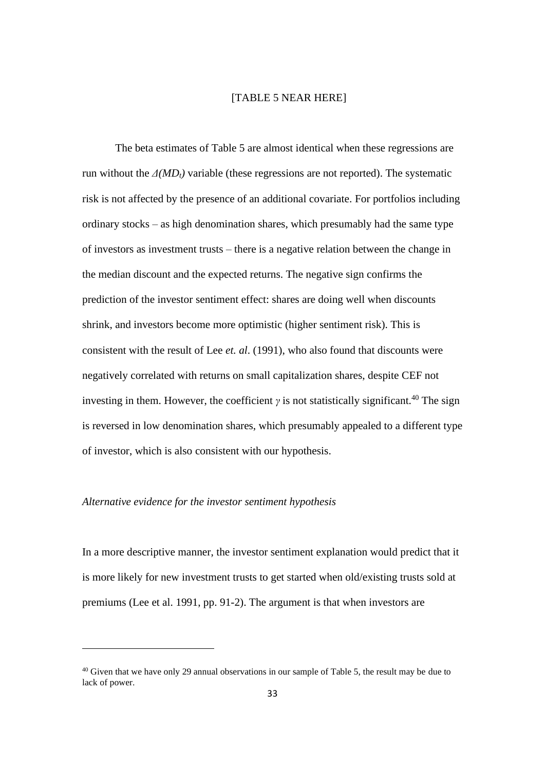### [TABLE 5 NEAR HERE]

The beta estimates of Table 5 are almost identical when these regressions are run without the  $\Delta(MD_t)$  variable (these regressions are not reported). The systematic risk is not affected by the presence of an additional covariate. For portfolios including ordinary stocks – as high denomination shares, which presumably had the same type of investors as investment trusts – there is a negative relation between the change in the median discount and the expected returns. The negative sign confirms the prediction of the investor sentiment effect: shares are doing well when discounts shrink, and investors become more optimistic (higher sentiment risk). This is consistent with the result of Lee *et. al*. (1991), who also found that discounts were negatively correlated with returns on small capitalization shares, despite CEF not investing in them. However, the coefficient  $\gamma$  is not statistically significant.<sup>40</sup> The sign is reversed in low denomination shares, which presumably appealed to a different type of investor, which is also consistent with our hypothesis.

### *Alternative evidence for the investor sentiment hypothesis*

In a more descriptive manner, the investor sentiment explanation would predict that it is more likely for new investment trusts to get started when old/existing trusts sold at premiums (Lee et al. 1991, pp. 91-2). The argument is that when investors are

<sup>&</sup>lt;sup>40</sup> Given that we have only 29 annual observations in our sample of Table 5, the result may be due to lack of power.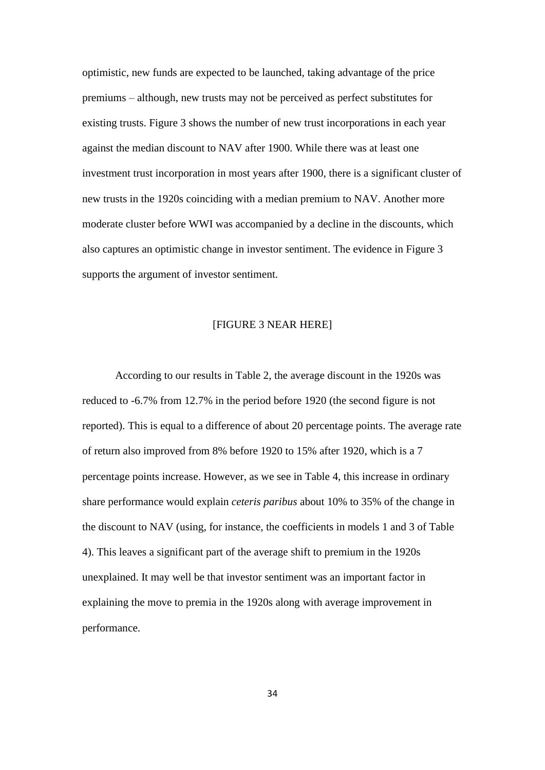optimistic, new funds are expected to be launched, taking advantage of the price premiums – although, new trusts may not be perceived as perfect substitutes for existing trusts. Figure 3 shows the number of new trust incorporations in each year against the median discount to NAV after 1900. While there was at least one investment trust incorporation in most years after 1900, there is a significant cluster of new trusts in the 1920s coinciding with a median premium to NAV. Another more moderate cluster before WWI was accompanied by a decline in the discounts, which also captures an optimistic change in investor sentiment. The evidence in Figure 3 supports the argument of investor sentiment.

# [FIGURE 3 NEAR HERE]

According to our results in Table 2, the average discount in the 1920s was reduced to -6.7% from 12.7% in the period before 1920 (the second figure is not reported). This is equal to a difference of about 20 percentage points. The average rate of return also improved from 8% before 1920 to 15% after 1920, which is a 7 percentage points increase. However, as we see in Table 4, this increase in ordinary share performance would explain *ceteris paribus* about 10% to 35% of the change in the discount to NAV (using, for instance, the coefficients in models 1 and 3 of Table 4). This leaves a significant part of the average shift to premium in the 1920s unexplained. It may well be that investor sentiment was an important factor in explaining the move to premia in the 1920s along with average improvement in performance.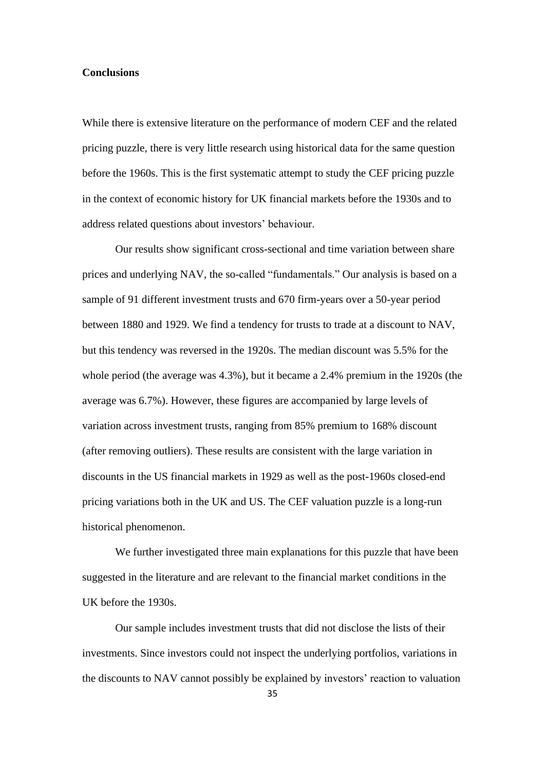### **Conclusions**

While there is extensive literature on the performance of modern CEF and the related pricing puzzle, there is very little research using historical data for the same question before the 1960s. This is the first systematic attempt to study the CEF pricing puzzle in the context of economic history for UK financial markets before the 1930s and to address related questions about investors' behaviour.

Our results show significant cross-sectional and time variation between share prices and underlying NAV, the so-called "fundamentals." Our analysis is based on a sample of 91 different investment trusts and 670 firm-years over a 50-year period between 1880 and 1929. We find a tendency for trusts to trade at a discount to NAV, but this tendency was reversed in the 1920s. The median discount was 5.5% for the whole period (the average was 4.3%), but it became a 2.4% premium in the 1920s (the average was 6.7%). However, these figures are accompanied by large levels of variation across investment trusts, ranging from 85% premium to 168% discount (after removing outliers). These results are consistent with the large variation in discounts in the US financial markets in 1929 as well as the post-1960s closed-end pricing variations both in the UK and US. The CEF valuation puzzle is a long-run historical phenomenon.

We further investigated three main explanations for this puzzle that have been suggested in the literature and are relevant to the financial market conditions in the UK before the 1930s.

Our sample includes investment trusts that did not disclose the lists of their investments. Since investors could not inspect the underlying portfolios, variations in the discounts to NAV cannot possibly be explained by investors' reaction to valuation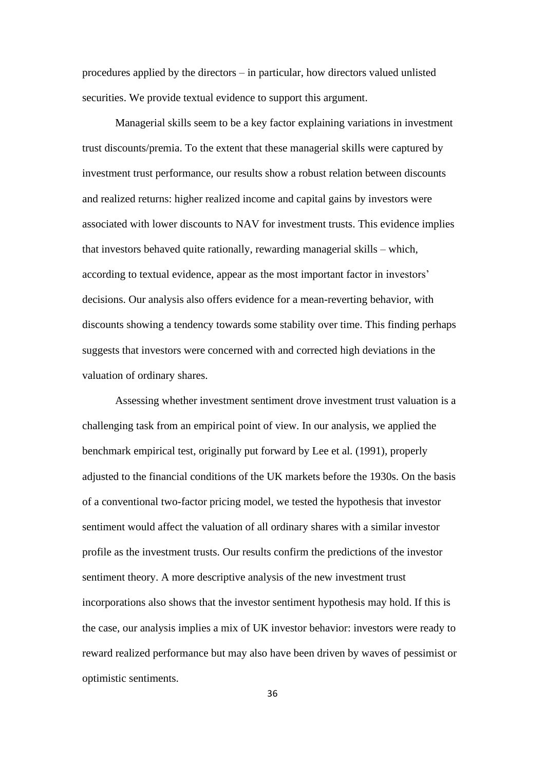procedures applied by the directors – in particular, how directors valued unlisted securities. We provide textual evidence to support this argument.

Managerial skills seem to be a key factor explaining variations in investment trust discounts/premia. To the extent that these managerial skills were captured by investment trust performance, our results show a robust relation between discounts and realized returns: higher realized income and capital gains by investors were associated with lower discounts to NAV for investment trusts. This evidence implies that investors behaved quite rationally, rewarding managerial skills – which, according to textual evidence, appear as the most important factor in investors' decisions. Our analysis also offers evidence for a mean-reverting behavior, with discounts showing a tendency towards some stability over time. This finding perhaps suggests that investors were concerned with and corrected high deviations in the valuation of ordinary shares.

Assessing whether investment sentiment drove investment trust valuation is a challenging task from an empirical point of view. In our analysis, we applied the benchmark empirical test, originally put forward by Lee et al. (1991), properly adjusted to the financial conditions of the UK markets before the 1930s. On the basis of a conventional two-factor pricing model, we tested the hypothesis that investor sentiment would affect the valuation of all ordinary shares with a similar investor profile as the investment trusts. Our results confirm the predictions of the investor sentiment theory. A more descriptive analysis of the new investment trust incorporations also shows that the investor sentiment hypothesis may hold. If this is the case, our analysis implies a mix of UK investor behavior: investors were ready to reward realized performance but may also have been driven by waves of pessimist or optimistic sentiments.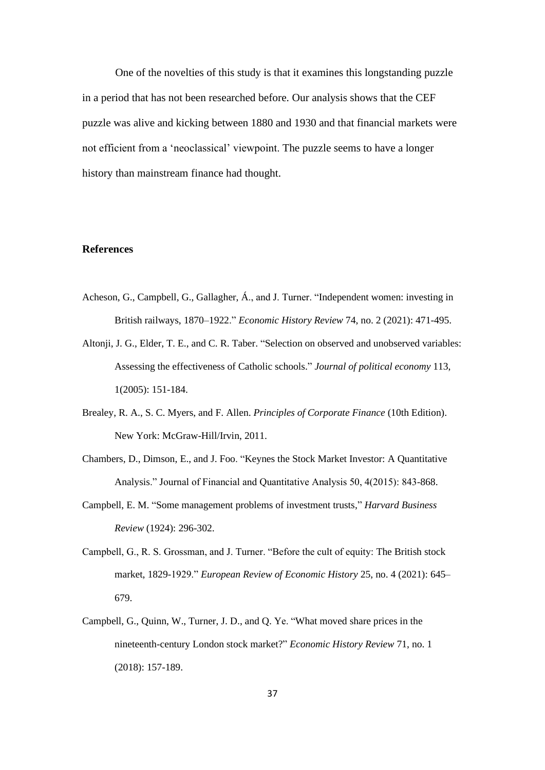One of the novelties of this study is that it examines this longstanding puzzle in a period that has not been researched before. Our analysis shows that the CEF puzzle was alive and kicking between 1880 and 1930 and that financial markets were not efficient from a 'neoclassical' viewpoint. The puzzle seems to have a longer history than mainstream finance had thought.

### **References**

- Acheson, G., Campbell, G., Gallagher, Á., and J. Turner. "Independent women: investing in British railways, 1870–1922." *Economic History Review* 74, no. 2 (2021): 471-495.
- Altonji, J. G., Elder, T. E., and C. R. Taber. "Selection on observed and unobserved variables: Assessing the effectiveness of Catholic schools." *Journal of political economy* 113, 1(2005): 151-184.
- Brealey, R. A., S. C. Myers, and F. Allen. *Principles of Corporate Finance* (10th Edition). New York: McGraw-Hill/Irvin, 2011.
- Chambers, D., Dimson, E., and J. Foo. "Keynes the Stock Market Investor: A Quantitative Analysis." Journal of Financial and Quantitative Analysis 50, 4(2015): 843-868.
- Campbell, E. M. "Some management problems of investment trusts," *Harvard Business Review* (1924): 296-302.
- Campbell, G., R. S. Grossman, and J. Turner. "Before the cult of equity: The British stock market, 1829-1929." *European Review of Economic History* 25, no. 4 (2021): 645– 679.
- Campbell, G., Quinn, W., Turner, J. D., and Q. Ye. "What moved share prices in the nineteenth-century London stock market?" *Economic History Review* 71, no. 1 (2018): 157-189.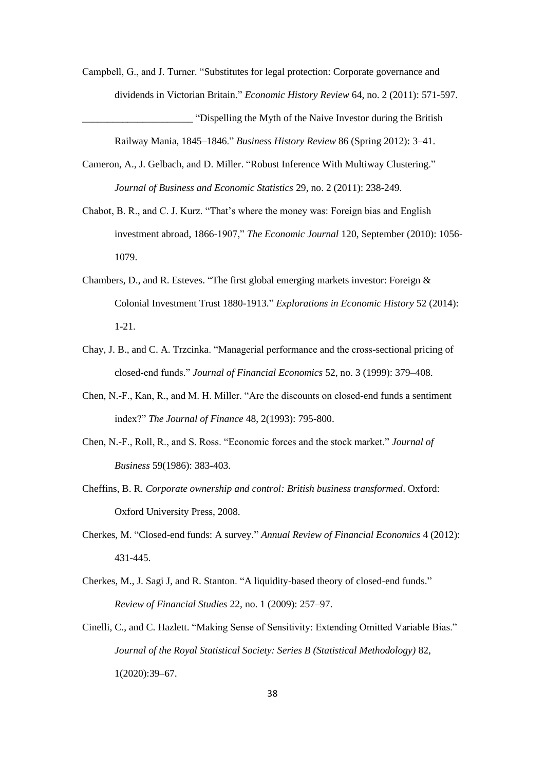- Campbell, G., and J. Turner. "Substitutes for legal protection: Corporate governance and dividends in Victorian Britain." *Economic History Review* 64, no. 2 (2011): 571-597. \_\_\_\_\_\_\_\_\_\_\_\_\_\_\_\_\_\_\_\_\_\_ "Dispelling the Myth of the Naive Investor during the British Railway Mania, 1845–1846." *Business History Review* 86 (Spring 2012): 3–41.
- Cameron, A., J. Gelbach, and D. Miller. "Robust Inference With Multiway Clustering." *Journal of Business and Economic Statistics* 29, no. 2 (2011): 238-249.
- Chabot, B. R., and C. J. Kurz. "That's where the money was: Foreign bias and English investment abroad, 1866-1907," *The Economic Journal* 120, September (2010): 1056- 1079.
- Chambers, D., and R. Esteves. "The first global emerging markets investor: Foreign & Colonial Investment Trust 1880-1913." *Explorations in Economic History* 52 (2014): 1-21.
- Chay, J. B., and C. A. Trzcinka. "Managerial performance and the cross-sectional pricing of closed-end funds." *Journal of Financial Economics* 52, no. 3 (1999): 379–408.
- Chen, N.-F., Kan, R., and M. H. Miller. "Are the discounts on closed-end funds a sentiment index?" *The Journal of Finance* 48, 2(1993): 795-800.
- Chen, N.-F., Roll, R., and S. Ross. "Economic forces and the stock market." *Journal of Business* 59(1986): 383-403.
- Cheffins, B. R. *Corporate ownership and control: British business transformed*. Oxford: Oxford University Press, 2008.
- Cherkes, M. "Closed-end funds: A survey." *Annual Review of Financial Economics* 4 (2012): 431-445.
- Cherkes, M., J. Sagi J, and R. Stanton. "A liquidity-based theory of closed-end funds." *Review of Financial Studies* 22, no. 1 (2009): 257–97.
- Cinelli, C., and C. Hazlett. "Making Sense of Sensitivity: Extending Omitted Variable Bias." *Journal of the Royal Statistical Society: Series B (Statistical Methodology)* 82, 1(2020):39–67.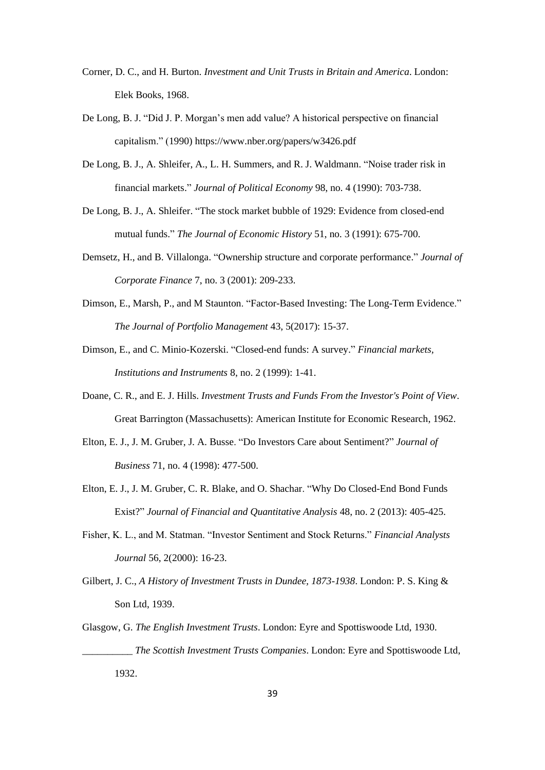- Corner, D. C., and H. Burton. *Investment and Unit Trusts in Britain and America*. London: Elek Books, 1968.
- De Long, B. J. "Did J. P. Morgan's men add value? A historical perspective on financial capitalism." (1990) https://www.nber.org/papers/w3426.pdf
- De Long, B. J., A. Shleifer, A., L. H. Summers, and R. J. Waldmann. "Noise trader risk in financial markets." *Journal of Political Economy* 98, no. 4 (1990): 703-738.
- De Long, B. J., A. Shleifer. "The stock market bubble of 1929: Evidence from closed-end mutual funds." *The Journal of Economic History* 51, no. 3 (1991): 675-700.
- Demsetz, H., and B. Villalonga. "Ownership structure and corporate performance." *Journal of Corporate Finance* 7, no. 3 (2001): 209-233.
- Dimson, E., Marsh, P., and M Staunton. "Factor-Based Investing: The Long-Term Evidence." *The Journal of Portfolio Management* 43, 5(2017): 15-37.
- Dimson, E., and C. Minio-Kozerski. "Closed-end funds: A survey." *Financial markets, Institutions and Instruments* 8, no. 2 (1999): 1-41.
- Doane, C. R., and E. J. Hills. *Investment Trusts and Funds From the Investor's Point of View*. Great Barrington (Massachusetts): American Institute for Economic Research, 1962.
- Elton, E. J., J. M. Gruber, J. A. Busse. "Do Investors Care about Sentiment?" *Journal of Business* 71, no. 4 (1998): 477-500.
- Elton, E. J., J. M. Gruber, C. R. Blake, and O. Shachar. "Why Do Closed-End Bond Funds Exist?" *Journal of Financial and Quantitative Analysis* 48, no. 2 (2013): 405-425.
- Fisher, K. L., and M. Statman. "Investor Sentiment and Stock Returns." *Financial Analysts Journal* 56, 2(2000): 16-23.
- Gilbert, J. C., *A History of Investment Trusts in Dundee, 1873-1938*. London: P. S. King & Son Ltd, 1939.
- Glasgow, G. *The English Investment Trusts*. London: Eyre and Spottiswoode Ltd, 1930. \_\_\_\_\_\_\_\_\_\_ *The Scottish Investment Trusts Companies*. London: Eyre and Spottiswoode Ltd, 1932.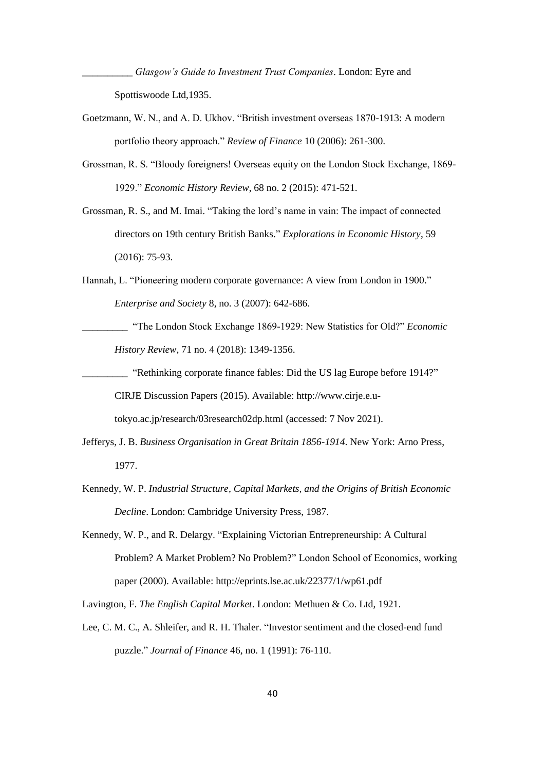\_\_\_\_\_\_\_\_\_\_ *Glasgow's Guide to Investment Trust Companies*. London: Eyre and Spottiswoode Ltd,1935.

- Goetzmann, W. N., and A. D. Ukhov. "British investment overseas 1870-1913: A modern portfolio theory approach." *Review of Finance* 10 (2006): 261-300.
- Grossman, R. S. "Bloody foreigners! Overseas equity on the London Stock Exchange, 1869- 1929." *Economic History Review*, 68 no. 2 (2015): 471-521.
- Grossman, R. S., and M. Imai. "Taking the lord's name in vain: The impact of connected directors on 19th century British Banks." *Explorations in Economic History*, 59 (2016): 75-93.
- Hannah, L. "Pioneering modern corporate governance: A view from London in 1900." *Enterprise and Society* 8, no. 3 (2007): 642-686.
	- \_\_\_\_\_\_\_\_\_ "The London Stock Exchange 1869-1929: New Statistics for Old?" *Economic History Review*, 71 no. 4 (2018): 1349-1356.
		- \_\_\_\_\_\_\_\_\_ "Rethinking corporate finance fables: Did the US lag Europe before 1914?" CIRJE Discussion Papers (2015). Available: http://www.cirje.e.u-

tokyo.ac.jp/research/03research02dp.html (accessed: 7 Nov 2021).

- Jefferys, J. B. *Business Organisation in Great Britain 1856-1914*. New York: Arno Press, 1977.
- Kennedy, W. P. *Industrial Structure, Capital Markets, and the Origins of British Economic Decline*. London: Cambridge University Press, 1987.
- Kennedy, W. P., and R. Delargy. "Explaining Victorian Entrepreneurship: A Cultural Problem? A Market Problem? No Problem?" London School of Economics, working paper (2000). Available: http://eprints.lse.ac.uk/22377/1/wp61.pdf

Lavington, F. *The English Capital Market*. London: Methuen & Co. Ltd, 1921.

Lee, C. M. C., A. Shleifer, and R. H. Thaler. "Investor sentiment and the closed-end fund puzzle." *Journal of Finance* 46, no. 1 (1991): 76-110.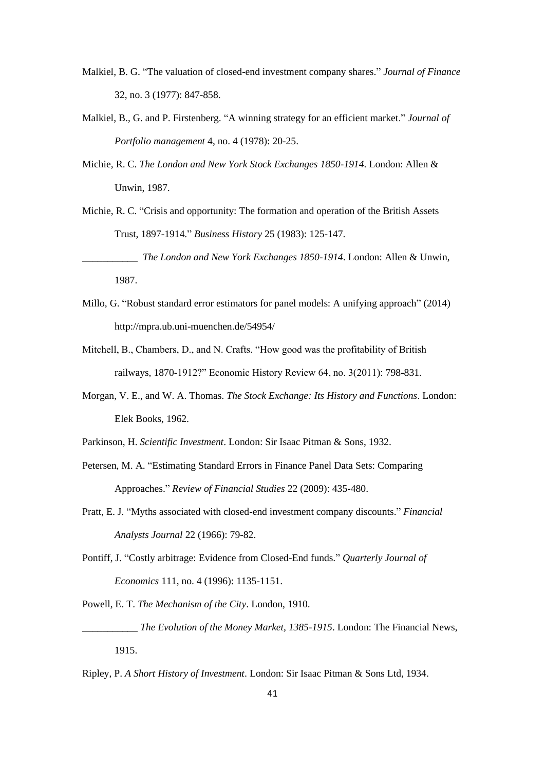- Malkiel, B. G. "The valuation of closed-end investment company shares." *Journal of Finance* 32, no. 3 (1977): 847-858.
- Malkiel, B., G. and P. Firstenberg. "A winning strategy for an efficient market." *Journal of Portfolio management* 4, no. 4 (1978): 20-25.
- Michie, R. C. *The London and New York Stock Exchanges 1850-1914*. London: Allen & Unwin, 1987.

Michie, R. C. "Crisis and opportunity: The formation and operation of the British Assets Trust, 1897-1914." *Business History* 25 (1983): 125-147.

\_\_\_\_\_\_\_\_\_\_\_ *The London and New York Exchanges 1850-1914*. London: Allen & Unwin, 1987.

- Millo, G. "Robust standard error estimators for panel models: A unifying approach" (2014) http://mpra.ub.uni-muenchen.de/54954/
- Mitchell, B., Chambers, D., and N. Crafts. "How good was the profitability of British railways, 1870-1912?" Economic History Review 64, no. 3(2011): 798-831.
- Morgan, V. E., and W. A. Thomas. *The Stock Exchange: Its History and Functions*. London: Elek Books, 1962.
- Parkinson, H. *Scientific Investment*. London: Sir Isaac Pitman & Sons, 1932.
- Petersen, M. A. "Estimating Standard Errors in Finance Panel Data Sets: Comparing Approaches." *Review of Financial Studies* 22 (2009): 435-480.
- Pratt, E. J. "Myths associated with closed-end investment company discounts." *Financial Analysts Journal* 22 (1966): 79-82.
- Pontiff, J. "Costly arbitrage: Evidence from Closed-End funds." *Quarterly Journal of Economics* 111, no. 4 (1996): 1135-1151.

Powell, E. T. *The Mechanism of the City*. London, 1910.

The Evolution of the Money Market, 1385-1915. London: The Financial News, 1915.

Ripley, P. *A Short History of Investment*. London: Sir Isaac Pitman & Sons Ltd, 1934.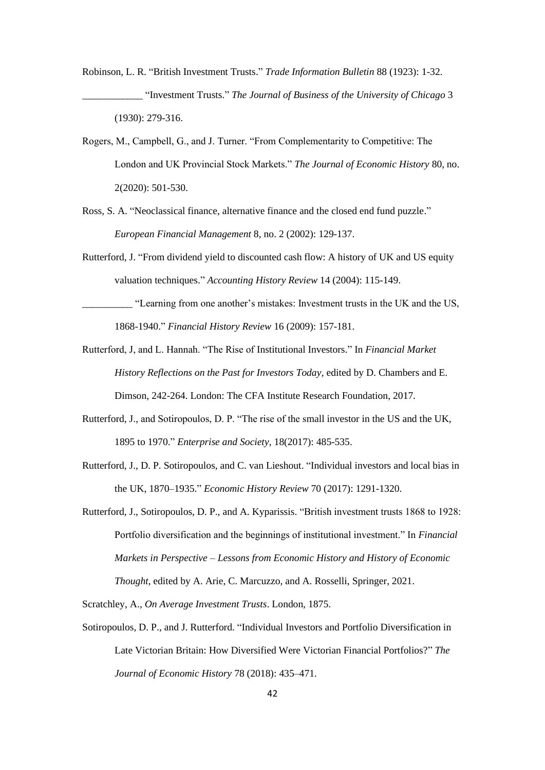- Robinson, L. R. "British Investment Trusts." *Trade Information Bulletin* 88 (1923): 1-32. \_\_\_\_\_\_\_\_\_\_\_\_ "Investment Trusts." *The Journal of Business of the University of Chicago* 3 (1930): 279-316.
- Rogers, M., Campbell, G., and J. Turner. "From Complementarity to Competitive: The London and UK Provincial Stock Markets." *The Journal of Economic History* 80, no. 2(2020): 501-530.
- Ross, S. A. "Neoclassical finance, alternative finance and the closed end fund puzzle." *European Financial Management* 8, no. 2 (2002): 129-137.
- Rutterford, J. "From dividend yield to discounted cash flow: A history of UK and US equity valuation techniques." *Accounting History Review* 14 (2004): 115-149.
- \_\_\_\_\_\_\_\_\_\_ "Learning from one another's mistakes: Investment trusts in the UK and the US, 1868-1940." *Financial History Review* 16 (2009): 157-181.
- Rutterford, J, and L. Hannah. "The Rise of Institutional Investors." In *Financial Market History Reflections on the Past for Investors Today*, edited by D. Chambers and E. Dimson, 242-264. London: The CFA Institute Research Foundation, 2017.
- Rutterford, J., and Sotiropoulos, D. P. "The rise of the small investor in the US and the UK, 1895 to 1970." *Enterprise and Society*, 18(2017): 485-535.
- Rutterford, J., D. P. Sotiropoulos, and C. van Lieshout. "Individual investors and local bias in the UK, 1870–1935." *Economic History Review* 70 (2017): 1291-1320.
- Rutterford, J., Sotiropoulos, D. P., and A. Kyparissis. "British investment trusts 1868 to 1928: Portfolio diversification and the beginnings of institutional investment." In *Financial Markets in Perspective – Lessons from Economic History and History of Economic Thought*, edited by A. Arie, C. Marcuzzo, and A. Rosselli, Springer, 2021.

Scratchley, A., *On Average Investment Trusts*. London, 1875.

Sotiropoulos, D. P., and J. Rutterford. "Individual Investors and Portfolio Diversification in Late Victorian Britain: How Diversified Were Victorian Financial Portfolios?" *The Journal of Economic History* 78 (2018): 435–471.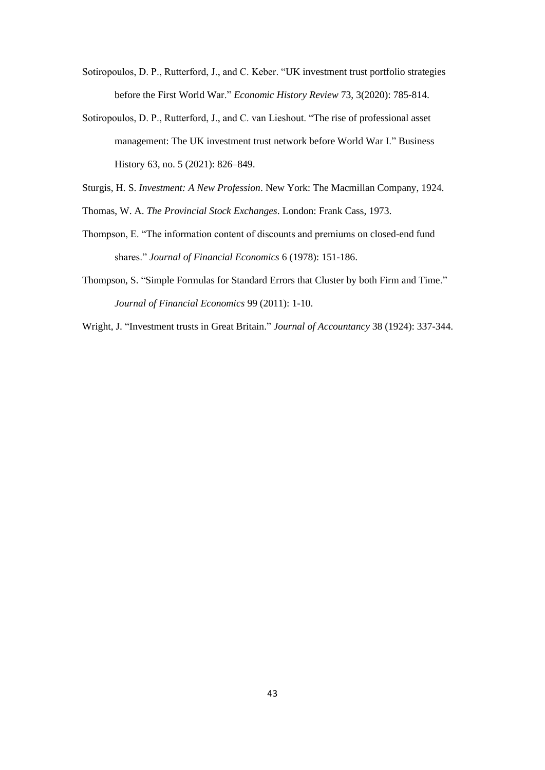- Sotiropoulos, D. P., Rutterford, J., and C. Keber. "UK investment trust portfolio strategies before the First World War." *Economic History Review* 73, 3(2020): 785-814.
- Sotiropoulos, D. P., Rutterford, J., and C. van Lieshout. "The rise of professional asset management: The UK investment trust network before World War I." Business History 63, no. 5 (2021): 826–849.
- Sturgis, H. S. *Investment: A New Profession*. New York: The Macmillan Company, 1924.
- Thomas, W. A. *The Provincial Stock Exchanges*. London: Frank Cass, 1973.
- Thompson, E. "The information content of discounts and premiums on closed-end fund shares." *Journal of Financial Economics* 6 (1978): 151-186.
- Thompson, S. "Simple Formulas for Standard Errors that Cluster by both Firm and Time." *Journal of Financial Economics* 99 (2011): 1-10.
- Wright, J. "Investment trusts in Great Britain." *Journal of Accountancy* 38 (1924): 337-344.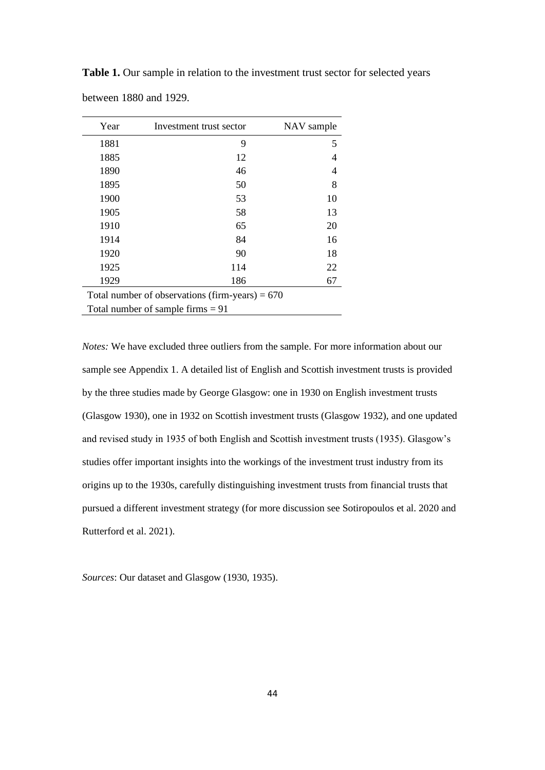**Table 1.** Our sample in relation to the investment trust sector for selected years between 1880 and 1929.

| Year                                              | Investment trust sector | NAV sample |  |  |  |  |
|---------------------------------------------------|-------------------------|------------|--|--|--|--|
| 1881                                              | 9                       | 5          |  |  |  |  |
| 1885                                              | 12                      | 4          |  |  |  |  |
| 1890                                              | 46                      | 4          |  |  |  |  |
| 1895                                              | 50                      | 8          |  |  |  |  |
| 1900                                              | 53                      | 10         |  |  |  |  |
| 1905                                              | 58                      | 13         |  |  |  |  |
| 1910                                              | 65                      | 20         |  |  |  |  |
| 1914                                              | 84                      | 16         |  |  |  |  |
| 1920                                              | 90                      | 18         |  |  |  |  |
| 1925                                              | 114                     | 22         |  |  |  |  |
| 1929                                              | 186                     | 67         |  |  |  |  |
| Total number of observations (firm-years) = $670$ |                         |            |  |  |  |  |
| Total number of sample firms $= 91$               |                         |            |  |  |  |  |

*Notes:* We have excluded three outliers from the sample. For more information about our sample see Appendix 1. A detailed list of English and Scottish investment trusts is provided by the three studies made by George Glasgow: one in 1930 on English investment trusts (Glasgow 1930), one in 1932 on Scottish investment trusts (Glasgow 1932), and one updated and revised study in 1935 of both English and Scottish investment trusts (1935). Glasgow's studies offer important insights into the workings of the investment trust industry from its origins up to the 1930s, carefully distinguishing investment trusts from financial trusts that pursued a different investment strategy (for more discussion see Sotiropoulos et al. 2020 and Rutterford et al. 2021).

*Sources*: Our dataset and Glasgow (1930, 1935).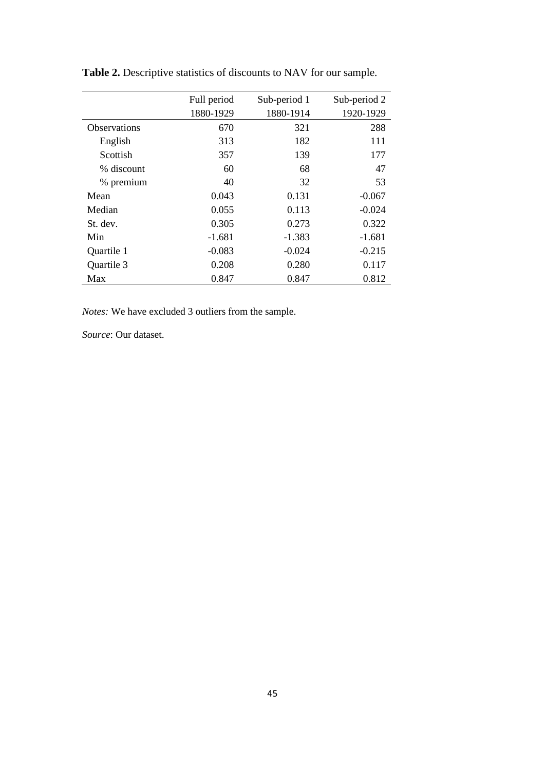|                     | Full period | Sub-period 1 | Sub-period 2 |
|---------------------|-------------|--------------|--------------|
|                     | 1880-1929   | 1880-1914    | 1920-1929    |
| <b>Observations</b> | 670         | 321          | 288          |
| English             | 313         | 182          | 111          |
| Scottish            | 357         | 139          | 177          |
| % discount          | 60          | 68           | 47           |
| % premium           | 40          | 32           | 53           |
| Mean                | 0.043       | 0.131        | $-0.067$     |
| Median              | 0.055       | 0.113        | $-0.024$     |
| St. dev.            | 0.305       | 0.273        | 0.322        |
| Min                 | $-1.681$    | $-1.383$     | $-1.681$     |
| Quartile 1          | $-0.083$    | $-0.024$     | $-0.215$     |
| Quartile 3          | 0.208       | 0.280        | 0.117        |
| Max                 | 0.847       | 0.847        | 0.812        |

**Table 2.** Descriptive statistics of discounts to NAV for our sample.

*Notes:* We have excluded 3 outliers from the sample.

*Source*: Our dataset.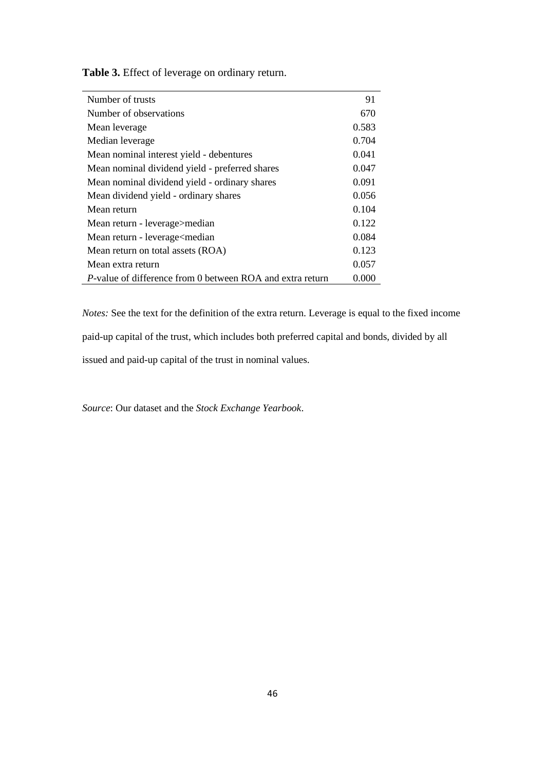| Number of trusts                                               | 91    |
|----------------------------------------------------------------|-------|
| Number of observations                                         | 670   |
| Mean leverage                                                  | 0.583 |
| Median leverage                                                | 0.704 |
| Mean nominal interest yield - debentures                       | 0.041 |
| Mean nominal dividend yield - preferred shares                 | 0.047 |
| Mean nominal dividend yield - ordinary shares                  | 0.091 |
| Mean dividend yield - ordinary shares                          | 0.056 |
| Mean return                                                    | 0.104 |
| Mean return - leverage>median                                  | 0.122 |
| Mean return - leverage <median< td=""><td>0.084</td></median<> | 0.084 |
| Mean return on total assets (ROA)                              | 0.123 |
| Mean extra return                                              | 0.057 |
| P-value of difference from 0 between ROA and extra return      | 0.000 |

**Table 3.** Effect of leverage on ordinary return.

*Notes:* See the text for the definition of the extra return. Leverage is equal to the fixed income paid-up capital of the trust, which includes both preferred capital and bonds, divided by all issued and paid-up capital of the trust in nominal values.

*Source*: Our dataset and the *Stock Exchange Yearbook*.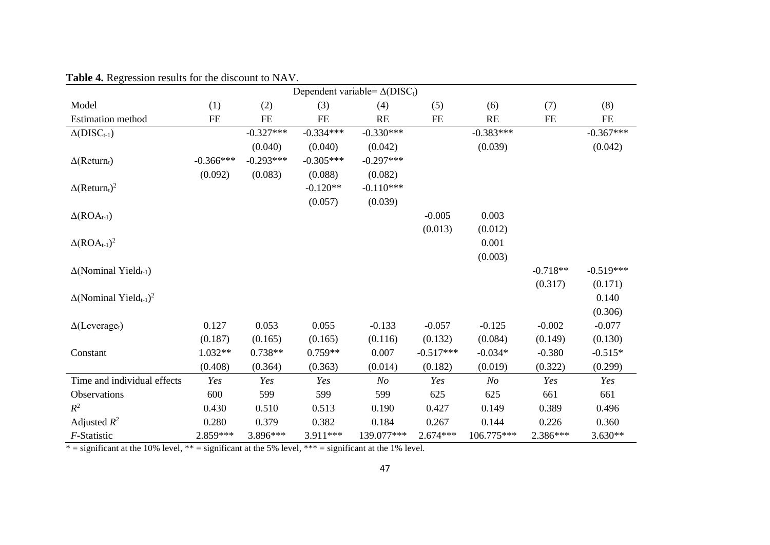|                                                       |             |             |             | Dependent variable= $\Delta(DISC_t)$ |             |                |            |             |
|-------------------------------------------------------|-------------|-------------|-------------|--------------------------------------|-------------|----------------|------------|-------------|
| Model                                                 | (1)         | (2)         | (3)         | (4)                                  | (5)         | (6)            | (7)        | (8)         |
| Estimation method                                     | FE          | <b>FE</b>   | <b>FE</b>   | <b>RE</b>                            | <b>FE</b>   | RE             | FE         | $\rm FE$    |
| $\Delta(DISC_{t-1})$                                  |             | $-0.327***$ | $-0.334***$ | $-0.330***$                          |             | $-0.383***$    |            | $-0.367***$ |
|                                                       |             | (0.040)     | (0.040)     | (0.042)                              |             | (0.039)        |            | (0.042)     |
| $\Delta$ (Return <sub>t</sub> )                       | $-0.366***$ | $-0.293***$ | $-0.305***$ | $-0.297***$                          |             |                |            |             |
|                                                       | (0.092)     | (0.083)     | (0.088)     | (0.082)                              |             |                |            |             |
| $\Delta(\text{Return}_t)^2$                           |             |             | $-0.120**$  | $-0.110***$                          |             |                |            |             |
|                                                       |             |             | (0.057)     | (0.039)                              |             |                |            |             |
| $\Delta (ROA_{t-1})$                                  |             |             |             |                                      | $-0.005$    | 0.003          |            |             |
|                                                       |             |             |             |                                      | (0.013)     | (0.012)        |            |             |
| $\Delta (ROA_{t-1})^2$                                |             |             |             |                                      |             | 0.001          |            |             |
|                                                       |             |             |             |                                      |             | (0.003)        |            |             |
| $\Delta$ (Nominal Yield <sub>t-1</sub> )              |             |             |             |                                      |             |                | $-0.718**$ | $-0.519***$ |
|                                                       |             |             |             |                                      |             |                | (0.317)    | (0.171)     |
| $\Delta$ (Nominal Yield <sub>t-1</sub> ) <sup>2</sup> |             |             |             |                                      |             |                |            | 0.140       |
|                                                       |             |             |             |                                      |             |                |            | (0.306)     |
| $\Delta$ (Leverage <sub>t</sub> )                     | 0.127       | 0.053       | 0.055       | $-0.133$                             | $-0.057$    | $-0.125$       | $-0.002$   | $-0.077$    |
|                                                       | (0.187)     | (0.165)     | (0.165)     | (0.116)                              | (0.132)     | (0.084)        | (0.149)    | (0.130)     |
| Constant                                              | $1.032**$   | $0.738**$   | $0.759**$   | 0.007                                | $-0.517***$ | $-0.034*$      | $-0.380$   | $-0.515*$   |
|                                                       | (0.408)     | (0.364)     | (0.363)     | (0.014)                              | (0.182)     | (0.019)        | (0.322)    | (0.299)     |
| Time and individual effects                           | Yes         | Yes         | Yes         | N <sub>O</sub>                       | Yes         | N <sub>O</sub> | Yes        | Yes         |
| Observations                                          | 600         | 599         | 599         | 599                                  | 625         | 625            | 661        | 661         |
| $R^2$                                                 | 0.430       | 0.510       | 0.513       | 0.190                                | 0.427       | 0.149          | 0.389      | 0.496       |
| Adjusted $R^2$                                        | 0.280       | 0.379       | 0.382       | 0.184                                | 0.267       | 0.144          | 0.226      | 0.360       |
| F-Statistic                                           | 2.859***    | 3.896***    | 3.911***    | 139.077***                           | $2.674***$  | 106.775***     | 2.386***   | $3.630**$   |

**Table 4.** Regression results for the discount to NAV.

 $* =$  significant at the 10% level,  $** =$  significant at the 5% level,  $*** =$  significant at the 1% level.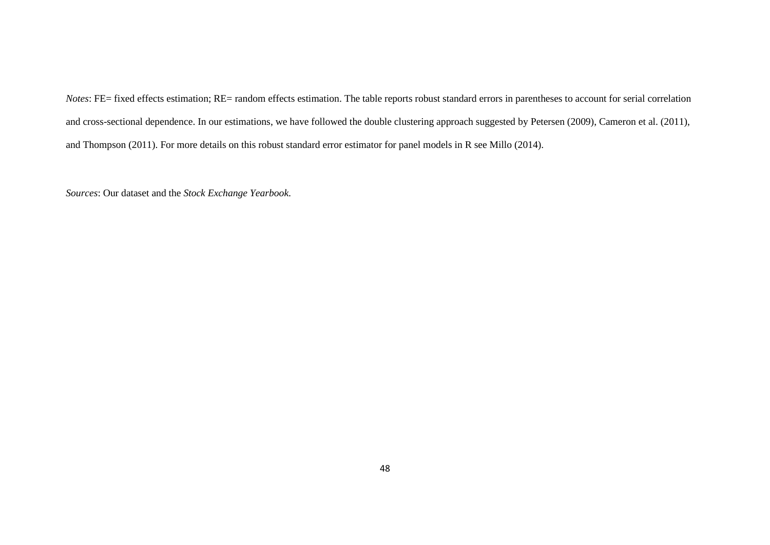*Notes*: FE= fixed effects estimation; RE= random effects estimation. The table reports robust standard errors in parentheses to account for serial correlation and cross-sectional dependence. In our estimations, we have followed the double clustering approach suggested by Petersen (2009), Cameron et al. (2011), and Thompson (2011). For more details on this robust standard error estimator for panel models in R see Millo (2014).

*Sources*: Our dataset and the *Stock Exchange Yearbook*.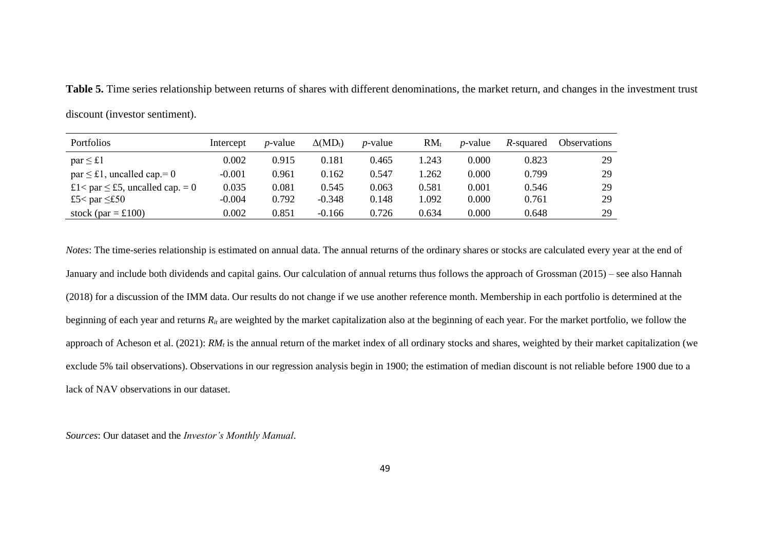**Table 5.** Time series relationship between returns of shares with different denominations, the market return, and changes in the investment trust

| <b>Portfolios</b>                      | Intercept | <i>p</i> -value | $\Delta(MD_t)$ | <i>p</i> -value | $RM_{t}$ | <i>p</i> -value | R-squared | <b>Observations</b> |
|----------------------------------------|-----------|-----------------|----------------|-----------------|----------|-----------------|-----------|---------------------|
| $par \leq \pounds1$                    | 0.002     | 0.915           | 0.181          | 0.465           | l.243    | 0.000           | 0.823     | 29                  |
| $par \leq \pounds1$ , uncalled cap.= 0 | $-0.001$  | 0.961           | 0.162          | 0.547           | .262     | 0.000           | 0.799     | 29                  |
| £1< par $\leq$ £5, uncalled cap. = 0   | 0.035     | 0.081           | 0.545          | 0.063           | 0.581    | 0.001           | 0.546     | 29                  |
| £5< par $\leq$ £50                     | $-0.004$  | 0.792           | $-0.348$       | 0.148           | 1.092    | 0.000           | 0.761     | 29                  |
| stock (par $=$ £100)                   | 0.002     | 0.851           | $-0.166$       | 0.726           | 0.634    | 0.000           | 0.648     | 29                  |

discount (investor sentiment).

*Notes*: The time-series relationship is estimated on annual data. The annual returns of the ordinary shares or stocks are calculated every year at the end of January and include both dividends and capital gains. Our calculation of annual returns thus follows the approach of Grossman (2015) – see also Hannah (2018) for a discussion of the IMM data. Our results do not change if we use another reference month. Membership in each portfolio is determined at the beginning of each year and returns  $R_{it}$  are weighted by the market capitalization also at the beginning of each year. For the market portfolio, we follow the approach of Acheson et al. (2021): *RM<sub>t</sub>* is the annual return of the market index of all ordinary stocks and shares, weighted by their market capitalization (we exclude 5% tail observations). Observations in our regression analysis begin in 1900; the estimation of median discount is not reliable before 1900 due to a lack of NAV observations in our dataset.

*Sources*: Our dataset and the *Investor's Monthly Manual*.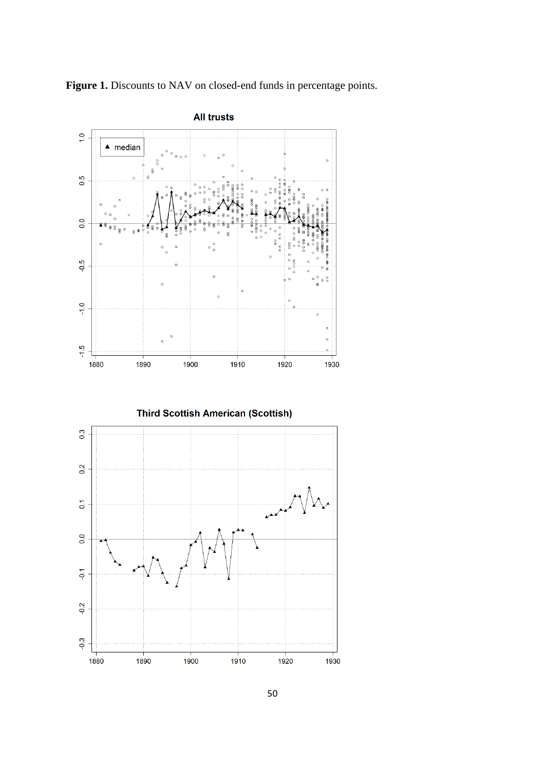



**Third Scottish American (Scottish)** 

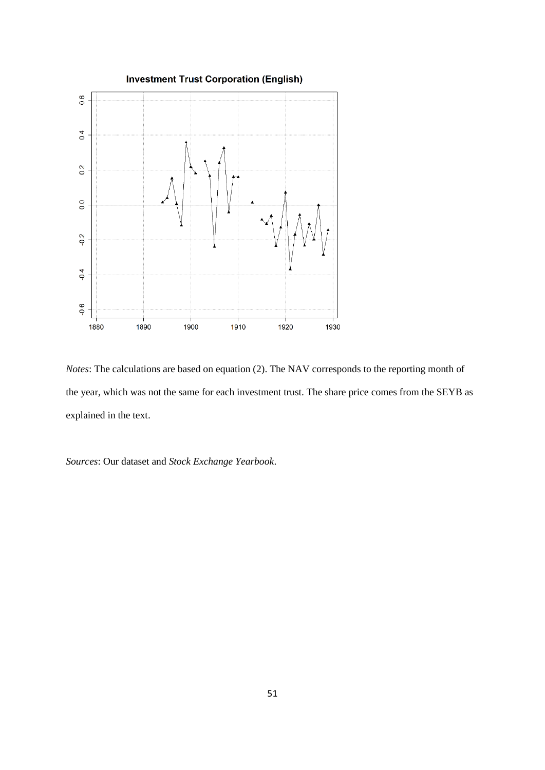

*Notes*: The calculations are based on equation (2). The NAV corresponds to the reporting month of the year, which was not the same for each investment trust. The share price comes from the SEYB as explained in the text.

*Sources*: Our dataset and *Stock Exchange Yearbook*.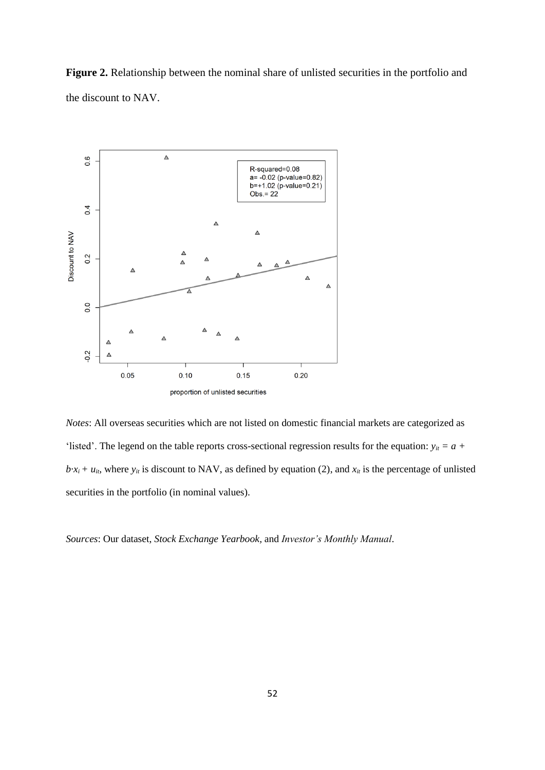**Figure 2.** Relationship between the nominal share of unlisted securities in the portfolio and the discount to NAV.



*Notes*: All overseas securities which are not listed on domestic financial markets are categorized as 'listed'. The legend on the table reports cross-sectional regression results for the equation:  $y_{it} = a +$  $b \cdot x_i + u_i$ , where  $y_i$  is discount to NAV, as defined by equation (2), and  $x_i$  is the percentage of unlisted securities in the portfolio (in nominal values).

*Sources*: Our dataset, *Stock Exchange Yearbook,* and *Investor's Monthly Manual*.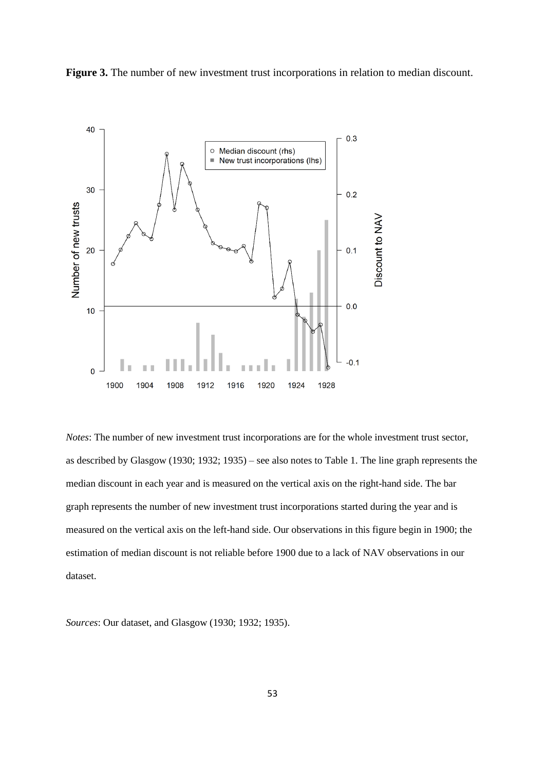



*Notes*: The number of new investment trust incorporations are for the whole investment trust sector, as described by Glasgow (1930; 1932; 1935) – see also notes to Table 1. The line graph represents the median discount in each year and is measured on the vertical axis on the right-hand side. The bar graph represents the number of new investment trust incorporations started during the year and is measured on the vertical axis on the left-hand side. Our observations in this figure begin in 1900; the estimation of median discount is not reliable before 1900 due to a lack of NAV observations in our dataset.

*Sources*: Our dataset, and Glasgow (1930; 1932; 1935).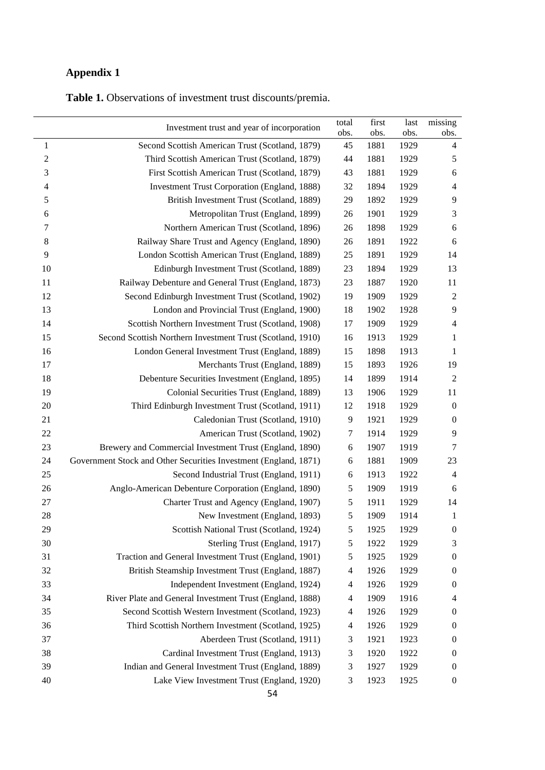# **Appendix 1**

**Table 1.** Observations of investment trust discounts/premia.

|                  | Investment trust and year of incorporation                       | total<br>obs.  | first<br>obs. | last<br>obs. | missing<br>obs.          |
|------------------|------------------------------------------------------------------|----------------|---------------|--------------|--------------------------|
| $\mathbf{1}$     | Second Scottish American Trust (Scotland, 1879)                  | 45             | 1881          | 1929         | $\overline{\mathcal{A}}$ |
| $\boldsymbol{2}$ | Third Scottish American Trust (Scotland, 1879)                   | 44             | 1881          | 1929         | 5                        |
| 3                | First Scottish American Trust (Scotland, 1879)                   | 43             | 1881          | 1929         | $\sqrt{6}$               |
| 4                | <b>Investment Trust Corporation (England, 1888)</b>              | 32             | 1894          | 1929         | $\overline{4}$           |
| 5                | British Investment Trust (Scotland, 1889)                        | 29             | 1892          | 1929         | 9                        |
| 6                | Metropolitan Trust (England, 1899)                               | 26             | 1901          | 1929         | 3                        |
| 7                | Northern American Trust (Scotland, 1896)                         | 26             | 1898          | 1929         | $\sqrt{6}$               |
| $\,8\,$          | Railway Share Trust and Agency (England, 1890)                   | 26             | 1891          | 1922         | 6                        |
| 9                | London Scottish American Trust (England, 1889)                   | 25             | 1891          | 1929         | 14                       |
| 10               | Edinburgh Investment Trust (Scotland, 1889)                      | 23             | 1894          | 1929         | 13                       |
| 11               | Railway Debenture and General Trust (England, 1873)              | 23             | 1887          | 1920         | 11                       |
| 12               | Second Edinburgh Investment Trust (Scotland, 1902)               | 19             | 1909          | 1929         | $\boldsymbol{2}$         |
| 13               | London and Provincial Trust (England, 1900)                      | 18             | 1902          | 1928         | 9                        |
| 14               | Scottish Northern Investment Trust (Scotland, 1908)              | 17             | 1909          | 1929         | $\overline{4}$           |
| 15               | Second Scottish Northern Investment Trust (Scotland, 1910)       | 16             | 1913          | 1929         | $\mathbf{1}$             |
| 16               | London General Investment Trust (England, 1889)                  | 15             | 1898          | 1913         | $\mathbf{1}$             |
| 17               | Merchants Trust (England, 1889)                                  | 15             | 1893          | 1926         | 19                       |
| 18               | Debenture Securities Investment (England, 1895)                  | 14             | 1899          | 1914         | $\overline{c}$           |
| 19               | Colonial Securities Trust (England, 1889)                        | 13             | 1906          | 1929         | 11                       |
| 20               | Third Edinburgh Investment Trust (Scotland, 1911)                | 12             | 1918          | 1929         | $\boldsymbol{0}$         |
| 21               | Caledonian Trust (Scotland, 1910)                                | 9              | 1921          | 1929         | $\boldsymbol{0}$         |
| 22               | American Trust (Scotland, 1902)                                  | $\tau$         | 1914          | 1929         | 9                        |
| 23               | Brewery and Commercial Investment Trust (England, 1890)          | 6              | 1907          | 1919         | $\boldsymbol{7}$         |
| 24               | Government Stock and Other Securities Investment (England, 1871) | $\sqrt{6}$     | 1881          | 1909         | 23                       |
| 25               | Second Industrial Trust (England, 1911)                          | 6              | 1913          | 1922         | $\overline{4}$           |
| 26               | Anglo-American Debenture Corporation (England, 1890)             | 5              | 1909          | 1919         | 6                        |
| 27               | Charter Trust and Agency (England, 1907)                         | 5              | 1911          | 1929         | 14                       |
| 28               | New Investment (England, 1893)                                   | 5              | 1909          | 1914         | $\mathbf{1}$             |
| 29               | Scottish National Trust (Scotland, 1924)                         | 5              | 1925          | 1929         | $\boldsymbol{0}$         |
| 30               | Sterling Trust (England, 1917)                                   | 5              | 1922          | 1929         | 3                        |
| 31               | Traction and General Investment Trust (England, 1901)            | 5              | 1925          | 1929         | $\boldsymbol{0}$         |
| 32               | British Steamship Investment Trust (England, 1887)               | $\overline{4}$ | 1926          | 1929         | $\boldsymbol{0}$         |
| 33               | Independent Investment (England, 1924)                           | 4              | 1926          | 1929         | $\boldsymbol{0}$         |
| 34               | River Plate and General Investment Trust (England, 1888)         | 4              | 1909          | 1916         | 4                        |
| 35               | Second Scottish Western Investment (Scotland, 1923)              | 4              | 1926          | 1929         | $\boldsymbol{0}$         |
| 36               | Third Scottish Northern Investment (Scotland, 1925)              | $\overline{4}$ | 1926          | 1929         | $\boldsymbol{0}$         |
| 37               | Aberdeen Trust (Scotland, 1911)                                  | 3              | 1921          | 1923         | $\boldsymbol{0}$         |
| 38               | Cardinal Investment Trust (England, 1913)                        | 3              | 1920          | 1922         | $\boldsymbol{0}$         |
| 39               | Indian and General Investment Trust (England, 1889)              | 3              | 1927          | 1929         | $\boldsymbol{0}$         |
| 40               | Lake View Investment Trust (England, 1920)                       | 3              | 1923          | 1925         | $\boldsymbol{0}$         |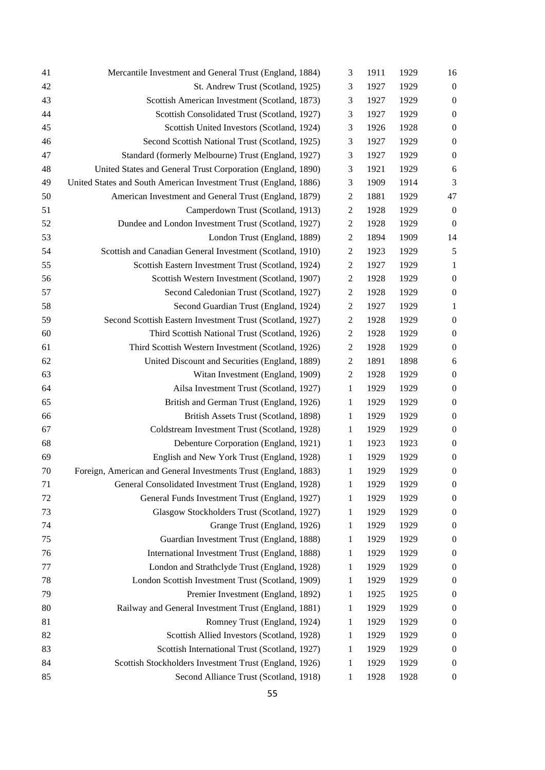| 41 | Mercantile Investment and General Trust (England, 1884)           | 3                | 1911 | 1929 | 16               |
|----|-------------------------------------------------------------------|------------------|------|------|------------------|
| 42 | St. Andrew Trust (Scotland, 1925)                                 | 3                | 1927 | 1929 | $\boldsymbol{0}$ |
| 43 | Scottish American Investment (Scotland, 1873)                     | 3                | 1927 | 1929 | $\boldsymbol{0}$ |
| 44 | Scottish Consolidated Trust (Scotland, 1927)                      | 3                | 1927 | 1929 | $\boldsymbol{0}$ |
| 45 | Scottish United Investors (Scotland, 1924)                        | 3                | 1926 | 1928 | $\boldsymbol{0}$ |
| 46 | Second Scottish National Trust (Scotland, 1925)                   | 3                | 1927 | 1929 | $\boldsymbol{0}$ |
| 47 | Standard (formerly Melbourne) Trust (England, 1927)               | 3                | 1927 | 1929 | $\boldsymbol{0}$ |
| 48 | United States and General Trust Corporation (England, 1890)       | 3                | 1921 | 1929 | 6                |
| 49 | United States and South American Investment Trust (England, 1886) | 3                | 1909 | 1914 | 3                |
| 50 | American Investment and General Trust (England, 1879)             | $\overline{2}$   | 1881 | 1929 | 47               |
| 51 | Camperdown Trust (Scotland, 1913)                                 | $\mathbf{2}$     | 1928 | 1929 | $\boldsymbol{0}$ |
| 52 | Dundee and London Investment Trust (Scotland, 1927)               | $\overline{2}$   | 1928 | 1929 | $\mathbf{0}$     |
| 53 | London Trust (England, 1889)                                      | $\mathbf{2}$     | 1894 | 1909 | 14               |
| 54 | Scottish and Canadian General Investment (Scotland, 1910)         | 2                | 1923 | 1929 | 5                |
| 55 | Scottish Eastern Investment Trust (Scotland, 1924)                | $\mathbf{2}$     | 1927 | 1929 | 1                |
| 56 | Scottish Western Investment (Scotland, 1907)                      | $\overline{2}$   | 1928 | 1929 | $\boldsymbol{0}$ |
| 57 | Second Caledonian Trust (Scotland, 1927)                          | $\overline{c}$   | 1928 | 1929 | $\boldsymbol{0}$ |
| 58 | Second Guardian Trust (England, 1924)                             | 2                | 1927 | 1929 | 1                |
| 59 | Second Scottish Eastern Investment Trust (Scotland, 1927)         | $\boldsymbol{2}$ | 1928 | 1929 | $\boldsymbol{0}$ |
| 60 | Third Scottish National Trust (Scotland, 1926)                    | $\overline{2}$   | 1928 | 1929 | $\boldsymbol{0}$ |
| 61 | Third Scottish Western Investment (Scotland, 1926)                | $\overline{c}$   | 1928 | 1929 | $\boldsymbol{0}$ |
| 62 | United Discount and Securities (England, 1889)                    | 2                | 1891 | 1898 | 6                |
| 63 | Witan Investment (England, 1909)                                  | 2                | 1928 | 1929 | $\boldsymbol{0}$ |
| 64 | Ailsa Investment Trust (Scotland, 1927)                           | 1                | 1929 | 1929 | $\boldsymbol{0}$ |
| 65 | British and German Trust (England, 1926)                          | 1                | 1929 | 1929 | $\boldsymbol{0}$ |
| 66 | British Assets Trust (Scotland, 1898)                             | $\mathbf{1}$     | 1929 | 1929 | $\boldsymbol{0}$ |
| 67 | Coldstream Investment Trust (Scotland, 1928)                      | 1                | 1929 | 1929 | $\boldsymbol{0}$ |
| 68 | Debenture Corporation (England, 1921)                             | 1                | 1923 | 1923 | $\boldsymbol{0}$ |
| 69 | English and New York Trust (England, 1928)                        | 1                | 1929 | 1929 | $\boldsymbol{0}$ |
| 70 | Foreign, American and General Investments Trust (England, 1883)   | 1                | 1929 | 1929 | $\boldsymbol{0}$ |
| 71 | General Consolidated Investment Trust (England, 1928)             | 1                | 1929 | 1929 | $\boldsymbol{0}$ |
| 72 | General Funds Investment Trust (England, 1927)                    | 1                | 1929 | 1929 | $\boldsymbol{0}$ |
| 73 | Glasgow Stockholders Trust (Scotland, 1927)                       | 1                | 1929 | 1929 | $\boldsymbol{0}$ |
| 74 | Grange Trust (England, 1926)                                      | 1                | 1929 | 1929 | $\boldsymbol{0}$ |
| 75 | Guardian Investment Trust (England, 1888)                         | 1                | 1929 | 1929 | $\boldsymbol{0}$ |
| 76 | International Investment Trust (England, 1888)                    | 1                | 1929 | 1929 | $\boldsymbol{0}$ |
| 77 | London and Strathclyde Trust (England, 1928)                      | 1                | 1929 | 1929 | $\boldsymbol{0}$ |
| 78 | London Scottish Investment Trust (Scotland, 1909)                 | 1                | 1929 | 1929 | $\boldsymbol{0}$ |
| 79 | Premier Investment (England, 1892)                                | 1                | 1925 | 1925 | $\boldsymbol{0}$ |
| 80 | Railway and General Investment Trust (England, 1881)              | 1                | 1929 | 1929 | $\boldsymbol{0}$ |
| 81 | Romney Trust (England, 1924)                                      | 1                | 1929 | 1929 | $\boldsymbol{0}$ |
| 82 | Scottish Allied Investors (Scotland, 1928)                        | 1                | 1929 | 1929 | $\boldsymbol{0}$ |
| 83 | Scottish International Trust (Scotland, 1927)                     | 1                | 1929 | 1929 | $\boldsymbol{0}$ |
| 84 | Scottish Stockholders Investment Trust (England, 1926)            | 1                | 1929 | 1929 | $\boldsymbol{0}$ |
| 85 | Second Alliance Trust (Scotland, 1918)                            | 1                | 1928 | 1928 | $\boldsymbol{0}$ |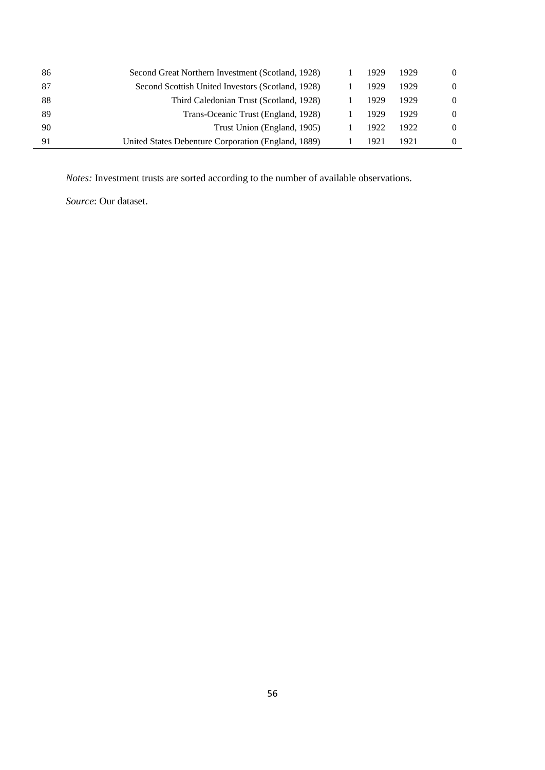| 86 | Second Great Northern Investment (Scotland, 1928)   | 1929 | 1929  |  |
|----|-----------------------------------------------------|------|-------|--|
| 87 | Second Scottish United Investors (Scotland, 1928)   | 1929 | 1929  |  |
| 88 | Third Caledonian Trust (Scotland, 1928)             | 1929 | 1929  |  |
| 89 | Trans-Oceanic Trust (England, 1928)                 | 1929 | 1929  |  |
| 90 | Trust Union (England, 1905)                         | 1922 | 1922. |  |
| 91 | United States Debenture Corporation (England, 1889) | 1921 | 1921  |  |

*Notes:* Investment trusts are sorted according to the number of available observations.

*Source*: Our dataset.